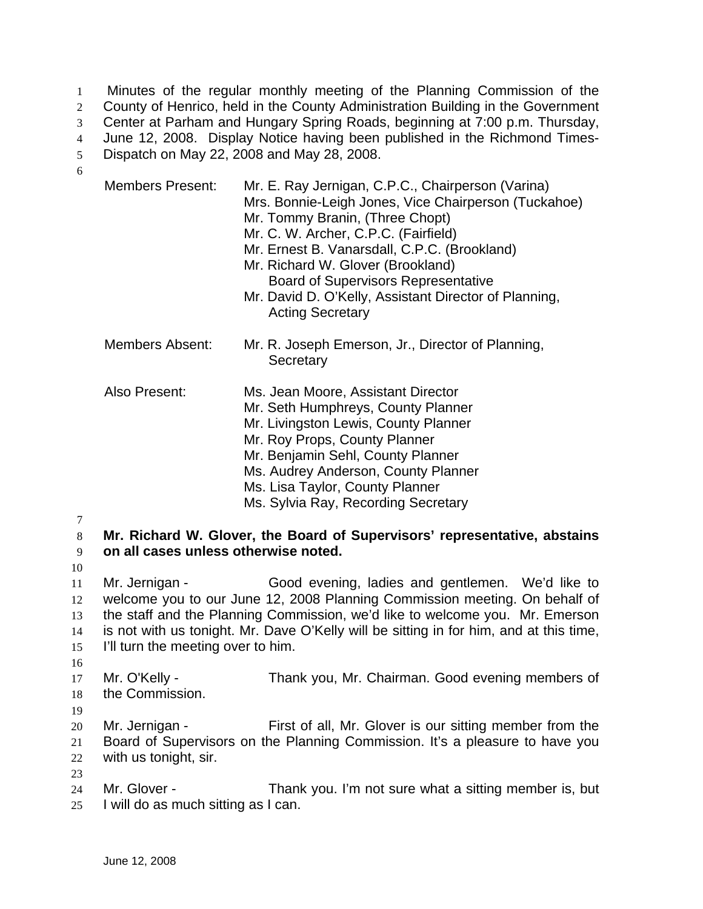Minutes of the regular monthly meeting of the Planning Commission of the County of Henrico, held in the County Administration Building in the Government Center at Parham and Hungary Spring Roads, beginning at 7:00 p.m. Thursday, June 12, 2008. Display Notice having been published in the Richmond Times-Dispatch on May 22, 2008 and May 28, 2008. 1 2 3 4 5 6

| <b>Members Present:</b> | Mr. E. Ray Jernigan, C.P.C., Chairperson (Varina)<br>Mrs. Bonnie-Leigh Jones, Vice Chairperson (Tuckahoe)<br>Mr. Tommy Branin, (Three Chopt)<br>Mr. C. W. Archer, C.P.C. (Fairfield)<br>Mr. Ernest B. Vanarsdall, C.P.C. (Brookland)<br>Mr. Richard W. Glover (Brookland)<br><b>Board of Supervisors Representative</b><br>Mr. David D. O'Kelly, Assistant Director of Planning,<br><b>Acting Secretary</b> |
|-------------------------|-------------------------------------------------------------------------------------------------------------------------------------------------------------------------------------------------------------------------------------------------------------------------------------------------------------------------------------------------------------------------------------------------------------|
| Members Absent:         | Mr. R. Joseph Emerson, Jr., Director of Planning,<br>Secretary                                                                                                                                                                                                                                                                                                                                              |
| Also Present:           | Ms. Jean Moore, Assistant Director<br>Mr. Seth Humphreys, County Planner<br>Mr. Livingston Lewis, County Planner<br>Mr. Roy Props, County Planner<br>Mr. Benjamin Sehl, County Planner<br>Ms. Audrey Anderson, County Planner<br>Ms. Lisa Taylor, County Planner<br>Ms. Sylvia Ray, Recording Secretary                                                                                                     |

7

8 9 **Mr. Richard W. Glover, the Board of Supervisors' representative, abstains on all cases unless otherwise noted.** 

10

11 12 13 14 15 Mr. Jernigan - Good evening, ladies and gentlemen. We'd like to welcome you to our June 12, 2008 Planning Commission meeting. On behalf of the staff and the Planning Commission, we'd like to welcome you. Mr. Emerson is not with us tonight. Mr. Dave O'Kelly will be sitting in for him, and at this time, I'll turn the meeting over to him.

16

17 18 Mr. O'Kelly - Thank you, Mr. Chairman. Good evening members of the Commission.

19

23

20 21 22 Mr. Jernigan - First of all, Mr. Glover is our sitting member from the Board of Supervisors on the Planning Commission. It's a pleasure to have you with us tonight, sir.

24 25 Mr. Glover - Thank you. I'm not sure what a sitting member is, but I will do as much sitting as I can.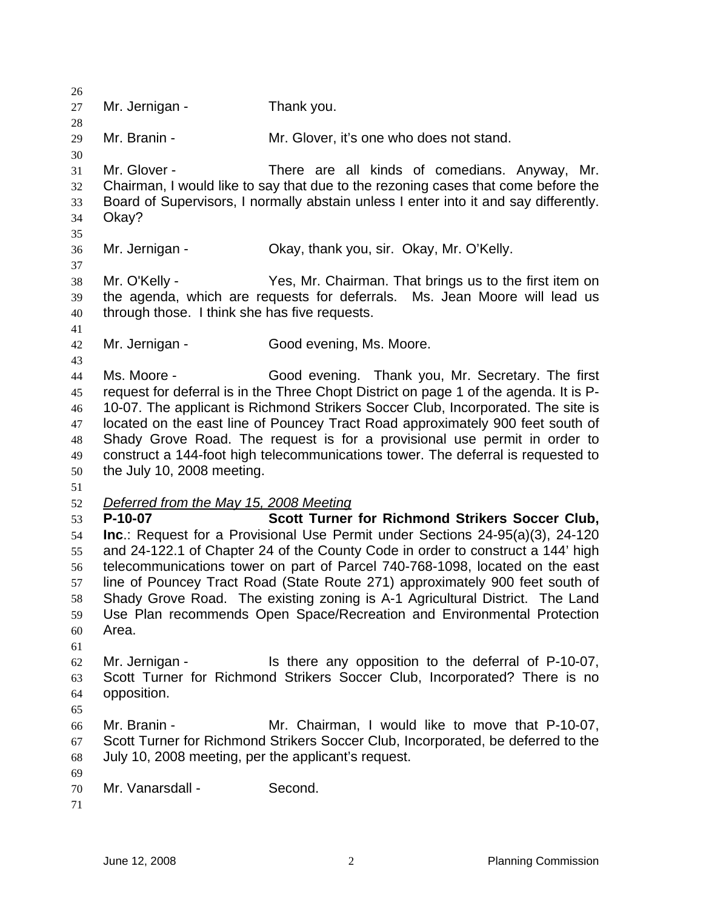| 26<br>27                                           | Mr. Jernigan -                                                      | Thank you.                                                                                                                                                                                                                                                                                                                                                                                                                                                                                                                                    |
|----------------------------------------------------|---------------------------------------------------------------------|-----------------------------------------------------------------------------------------------------------------------------------------------------------------------------------------------------------------------------------------------------------------------------------------------------------------------------------------------------------------------------------------------------------------------------------------------------------------------------------------------------------------------------------------------|
| 28<br>29<br>30                                     | Mr. Branin -                                                        | Mr. Glover, it's one who does not stand.                                                                                                                                                                                                                                                                                                                                                                                                                                                                                                      |
| 31<br>32<br>33<br>34<br>35                         | Mr. Glover -<br>Okay?                                               | There are all kinds of comedians. Anyway, Mr.<br>Chairman, I would like to say that due to the rezoning cases that come before the<br>Board of Supervisors, I normally abstain unless I enter into it and say differently.                                                                                                                                                                                                                                                                                                                    |
| 36<br>37                                           | Mr. Jernigan -                                                      | Okay, thank you, sir. Okay, Mr. O'Kelly.                                                                                                                                                                                                                                                                                                                                                                                                                                                                                                      |
| 38<br>39<br>40<br>41                               | Mr. O'Kelly -<br>through those. I think she has five requests.      | Yes, Mr. Chairman. That brings us to the first item on<br>the agenda, which are requests for deferrals. Ms. Jean Moore will lead us                                                                                                                                                                                                                                                                                                                                                                                                           |
| 42                                                 | Mr. Jernigan -                                                      | Good evening, Ms. Moore.                                                                                                                                                                                                                                                                                                                                                                                                                                                                                                                      |
| 43<br>44<br>45<br>46<br>47<br>48<br>49<br>50<br>51 | Ms. Moore -<br>the July 10, 2008 meeting.                           | Good evening. Thank you, Mr. Secretary. The first<br>request for deferral is in the Three Chopt District on page 1 of the agenda. It is P-<br>10-07. The applicant is Richmond Strikers Soccer Club, Incorporated. The site is<br>located on the east line of Pouncey Tract Road approximately 900 feet south of<br>Shady Grove Road. The request is for a provisional use permit in order to<br>construct a 144-foot high telecommunications tower. The deferral is requested to                                                             |
| 52<br>53<br>54<br>55<br>56<br>57<br>58<br>59<br>60 | Deferred from the May 15, 2008 Meeting<br>P-10-07<br>Area.          | Scott Turner for Richmond Strikers Soccer Club,<br>Inc.: Request for a Provisional Use Permit under Sections 24-95(a)(3), 24-120<br>and 24-122.1 of Chapter 24 of the County Code in order to construct a 144' high<br>telecommunications tower on part of Parcel 740-768-1098, located on the east<br>line of Pouncey Tract Road (State Route 271) approximately 900 feet south of<br>Shady Grove Road. The existing zoning is A-1 Agricultural District. The Land<br>Use Plan recommends Open Space/Recreation and Environmental Protection |
| 61<br>62<br>63<br>64<br>65                         | Mr. Jernigan -<br>opposition.                                       | Is there any opposition to the deferral of P-10-07,<br>Scott Turner for Richmond Strikers Soccer Club, Incorporated? There is no                                                                                                                                                                                                                                                                                                                                                                                                              |
| 66<br>67<br>68<br>69                               | Mr. Branin -<br>July 10, 2008 meeting, per the applicant's request. | Mr. Chairman, I would like to move that P-10-07,<br>Scott Turner for Richmond Strikers Soccer Club, Incorporated, be deferred to the                                                                                                                                                                                                                                                                                                                                                                                                          |
| 70<br>71                                           | Mr. Vanarsdall -                                                    | Second.                                                                                                                                                                                                                                                                                                                                                                                                                                                                                                                                       |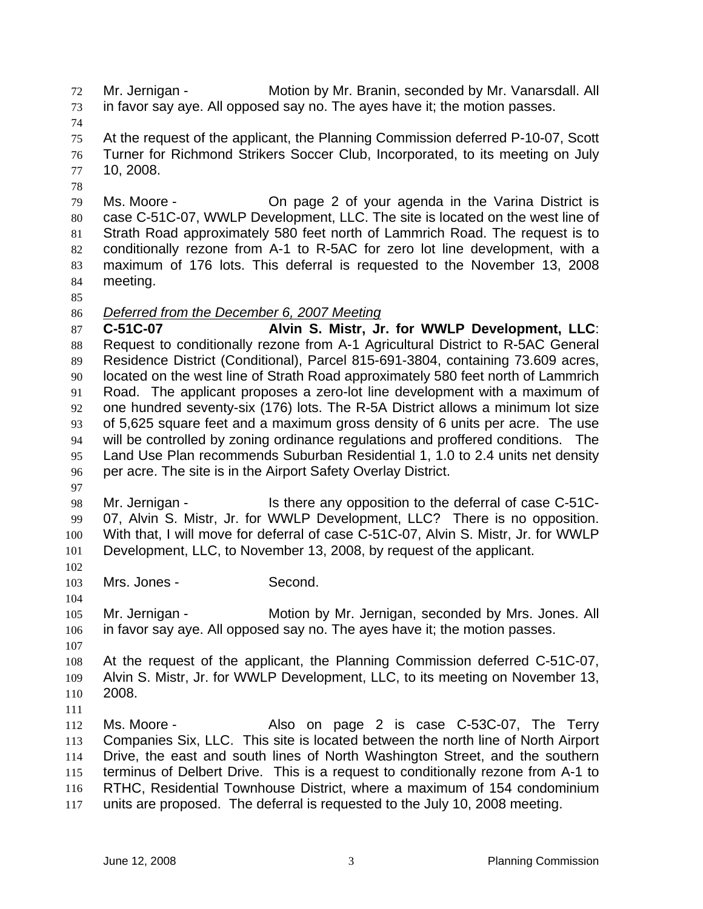Mr. Jernigan - Motion by Mr. Branin, seconded by Mr. Vanarsdall. All in favor say aye. All opposed say no. The ayes have it; the motion passes. 72 73

74

78

75 76 77 At the request of the applicant, the Planning Commission deferred P-10-07, Scott Turner for Richmond Strikers Soccer Club, Incorporated, to its meeting on July 10, 2008.

79 80 81 82 83 84 Ms. Moore - **On page 2 of your agenda in the Varina District is** case C-51C-07, WWLP Development, LLC. The site is located on the west line of Strath Road approximately 580 feet north of Lammrich Road. The request is to conditionally rezone from A-1 to R-5AC for zero lot line development, with a maximum of 176 lots. This deferral is requested to the November 13, 2008 meeting.

85

## 86 *Deferred from the December 6, 2007 Meeting*

87 88 89 90 91 92 93 94 95 96 **C-51C-07 Alvin S. Mistr, Jr. for WWLP Development, LLC**: Request to conditionally rezone from A-1 Agricultural District to R-5AC General Residence District (Conditional), Parcel 815-691-3804, containing 73.609 acres, located on the west line of Strath Road approximately 580 feet north of Lammrich Road. The applicant proposes a zero-lot line development with a maximum of one hundred seventy-six (176) lots. The R-5A District allows a minimum lot size of 5,625 square feet and a maximum gross density of 6 units per acre. The use will be controlled by zoning ordinance regulations and proffered conditions. The Land Use Plan recommends Suburban Residential 1, 1.0 to 2.4 units net density per acre. The site is in the Airport Safety Overlay District.

97

102

104

98 99 100 101 Mr. Jernigan - Is there any opposition to the deferral of case C-51C-07, Alvin S. Mistr, Jr. for WWLP Development, LLC? There is no opposition. With that, I will move for deferral of case C-51C-07, Alvin S. Mistr, Jr. for WWLP Development, LLC, to November 13, 2008, by request of the applicant.

103 Mrs. Jones - Second.

105 106 Mr. Jernigan - Motion by Mr. Jernigan, seconded by Mrs. Jones. All in favor say aye. All opposed say no. The ayes have it; the motion passes.

107

108 109 110 At the request of the applicant, the Planning Commission deferred C-51C-07, Alvin S. Mistr, Jr. for WWLP Development, LLC, to its meeting on November 13, 2008.

111

112 113 114 115 116 117 Ms. Moore - The Salso on page 2 is case C-53C-07, The Terry Companies Six, LLC. This site is located between the north line of North Airport Drive, the east and south lines of North Washington Street, and the southern terminus of Delbert Drive. This is a request to conditionally rezone from A-1 to RTHC, Residential Townhouse District, where a maximum of 154 condominium units are proposed. The deferral is requested to the July 10, 2008 meeting.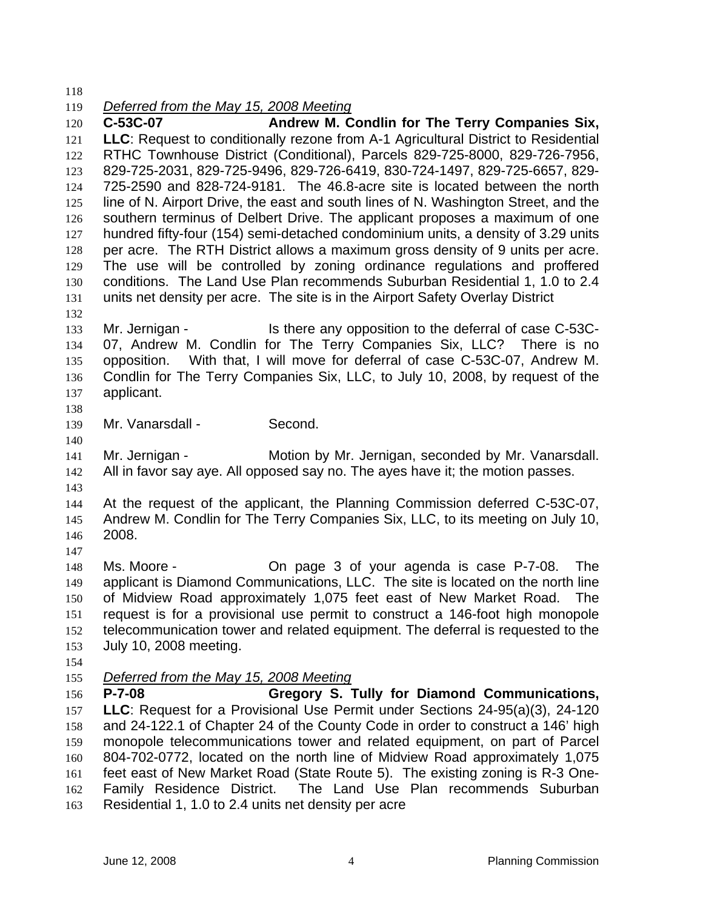118

119 *Deferred from the May 15, 2008 Meeting*

120 121 122 123 124 125 126 127 128 129 130 131 **C-53C-07 Andrew M. Condlin for The Terry Companies Six, LLC**: Request to conditionally rezone from A-1 Agricultural District to Residential RTHC Townhouse District (Conditional), Parcels 829-725-8000, 829-726-7956, 829-725-2031, 829-725-9496, 829-726-6419, 830-724-1497, 829-725-6657, 829- 725-2590 and 828-724-9181. The 46.8-acre site is located between the north line of N. Airport Drive, the east and south lines of N. Washington Street, and the southern terminus of Delbert Drive. The applicant proposes a maximum of one hundred fifty-four (154) semi-detached condominium units, a density of 3.29 units per acre. The RTH District allows a maximum gross density of 9 units per acre. The use will be controlled by zoning ordinance regulations and proffered conditions. The Land Use Plan recommends Suburban Residential 1, 1.0 to 2.4 units net density per acre. The site is in the Airport Safety Overlay District

132

133 134 135 136 137 Mr. Jernigan - The Is there any opposition to the deferral of case C-53C-07, Andrew M. Condlin for The Terry Companies Six, LLC? There is no opposition. With that, I will move for deferral of case C-53C-07, Andrew M. Condlin for The Terry Companies Six, LLC, to July 10, 2008, by request of the applicant.

138

140

139 Mr. Vanarsdall - Second.

141 142 Mr. Jernigan - Motion by Mr. Jernigan, seconded by Mr. Vanarsdall. All in favor say aye. All opposed say no. The ayes have it; the motion passes.

143

144 145 146 At the request of the applicant, the Planning Commission deferred C-53C-07, Andrew M. Condlin for The Terry Companies Six, LLC, to its meeting on July 10, 2008.

147

148 149 150 151 152 153 Ms. Moore - On page 3 of your agenda is case P-7-08. The applicant is Diamond Communications, LLC. The site is located on the north line of Midview Road approximately 1,075 feet east of New Market Road. The request is for a provisional use permit to construct a 146-foot high monopole telecommunication tower and related equipment. The deferral is requested to the July 10, 2008 meeting.

154

155 *Deferred from the May 15, 2008 Meeting*

156 157 158 159 160 161 162 163 **P-7-08 Gregory S. Tully for Diamond Communications, LLC**: Request for a Provisional Use Permit under Sections 24-95(a)(3), 24-120 and 24-122.1 of Chapter 24 of the County Code in order to construct a 146' high monopole telecommunications tower and related equipment, on part of Parcel 804-702-0772, located on the north line of Midview Road approximately 1,075 feet east of New Market Road (State Route 5). The existing zoning is R-3 One-Family Residence District. The Land Use Plan recommends Suburban Residential 1, 1.0 to 2.4 units net density per acre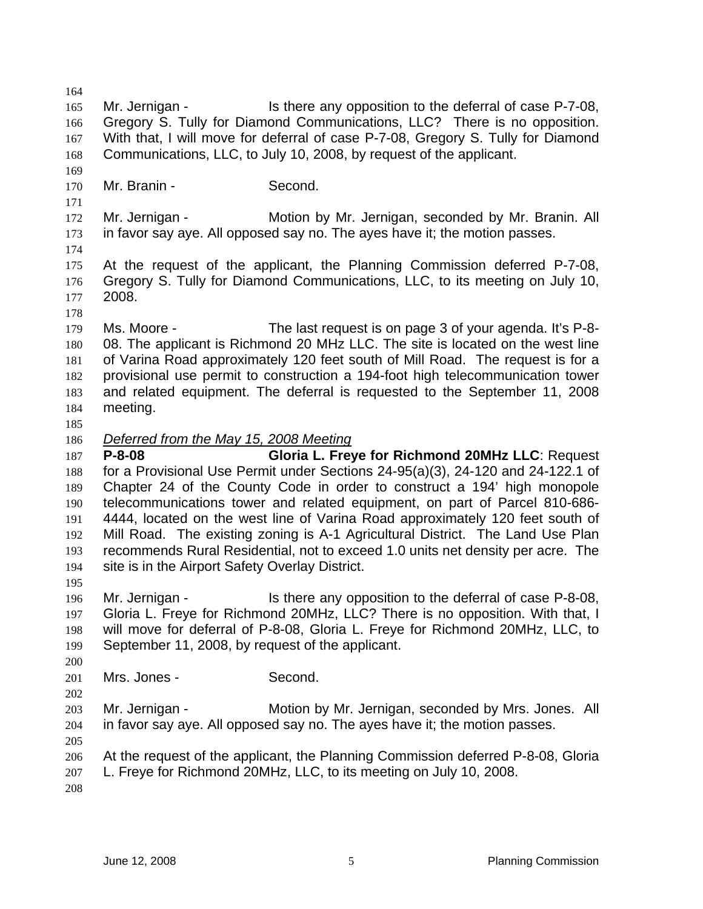164 165 166 167 168 169 170 171 172 173 174 175 176 177 178 179 180 181 182 183 184 185 Mr. Jernigan - Is there any opposition to the deferral of case P-7-08, Gregory S. Tully for Diamond Communications, LLC? There is no opposition. With that, I will move for deferral of case P-7-08, Gregory S. Tully for Diamond Communications, LLC, to July 10, 2008, by request of the applicant. Mr. Branin - Second. Mr. Jernigan - **Motion by Mr. Jernigan, seconded by Mr. Branin.** All in favor say aye. All opposed say no. The ayes have it; the motion passes. At the request of the applicant, the Planning Commission deferred P-7-08, Gregory S. Tully for Diamond Communications, LLC, to its meeting on July 10, 2008. Ms. Moore - The last request is on page 3 of your agenda. It's P-8-08. The applicant is Richmond 20 MHz LLC. The site is located on the west line of Varina Road approximately 120 feet south of Mill Road. The request is for a provisional use permit to construction a 194-foot high telecommunication tower and related equipment. The deferral is requested to the September 11, 2008 meeting. 186 *Deferred from the May 15, 2008 Meeting* 187 188 189 190 191 192 193 194 195 196 197 198 199 200 201 202 203 204 205 206 207 208 **P-8-08 Gloria L. Freye for Richmond 20MHz LLC**: Request for a Provisional Use Permit under Sections 24-95(a)(3), 24-120 and 24-122.1 of Chapter 24 of the County Code in order to construct a 194' high monopole telecommunications tower and related equipment, on part of Parcel 810-686- 4444, located on the west line of Varina Road approximately 120 feet south of Mill Road. The existing zoning is A-1 Agricultural District. The Land Use Plan recommends Rural Residential, not to exceed 1.0 units net density per acre. The site is in the Airport Safety Overlay District. Mr. Jernigan - The Is there any opposition to the deferral of case P-8-08, Gloria L. Freye for Richmond 20MHz, LLC? There is no opposition. With that, I will move for deferral of P-8-08, Gloria L. Freye for Richmond 20MHz, LLC, to September 11, 2008, by request of the applicant. Mrs. Jones - Second. Mr. Jernigan - **Motion by Mr. Jernigan, seconded by Mrs. Jones.** All in favor say aye. All opposed say no. The ayes have it; the motion passes. At the request of the applicant, the Planning Commission deferred P-8-08, Gloria L. Freye for Richmond 20MHz, LLC, to its meeting on July 10, 2008.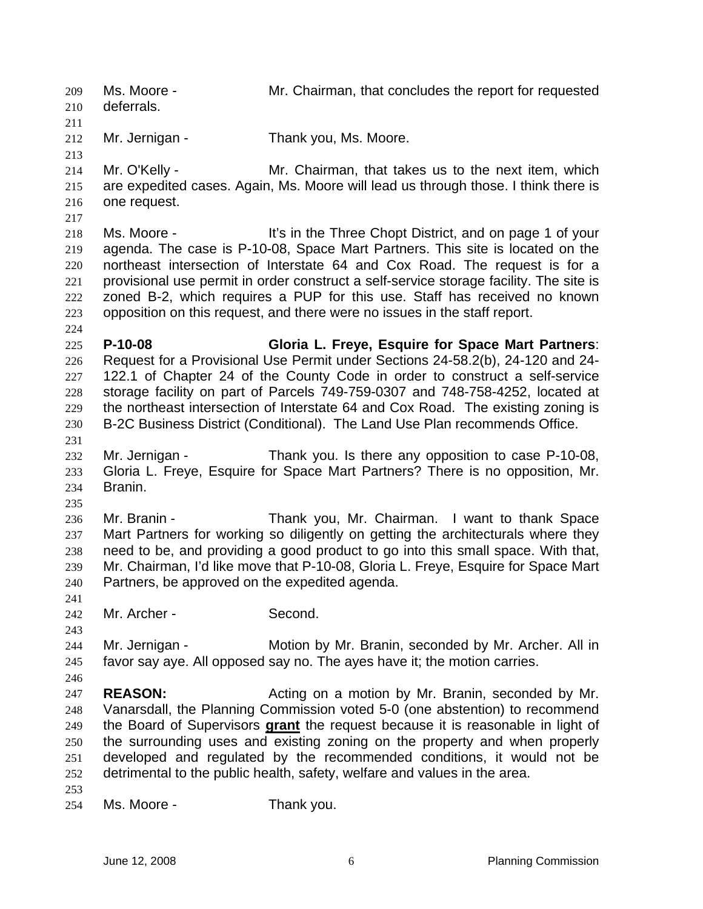Ms. Moore - Mr. Chairman, that concludes the report for requested deferrals. 209 210 211 212 213 214 215 216 217 218 219 220 221 222 223 224 225 226 227 228 229 230 231 232 233 234 235 236 237 238 239 240 241 242 243 244 245 246 247 248 Mr. Jernigan - Thank you, Ms. Moore. Mr. O'Kelly - **Mr.** Chairman, that takes us to the next item, which are expedited cases. Again, Ms. Moore will lead us through those. I think there is one request. Ms. Moore - It's in the Three Chopt District, and on page 1 of your agenda. The case is P-10-08, Space Mart Partners. This site is located on the northeast intersection of Interstate 64 and Cox Road. The request is for a provisional use permit in order construct a self-service storage facility. The site is zoned B-2, which requires a PUP for this use. Staff has received no known opposition on this request, and there were no issues in the staff report. **P-10-08 Gloria L. Freye, Esquire for Space Mart Partners**: Request for a Provisional Use Permit under Sections 24-58.2(b), 24-120 and 24- 122.1 of Chapter 24 of the County Code in order to construct a self-service storage facility on part of Parcels 749-759-0307 and 748-758-4252, located at the northeast intersection of Interstate 64 and Cox Road. The existing zoning is B-2C Business District (Conditional). The Land Use Plan recommends Office. Mr. Jernigan - Thank you. Is there any opposition to case P-10-08, Gloria L. Freye, Esquire for Space Mart Partners? There is no opposition, Mr. Branin. Mr. Branin - Thank you, Mr. Chairman. I want to thank Space Mart Partners for working so diligently on getting the architecturals where they need to be, and providing a good product to go into this small space. With that, Mr. Chairman, I'd like move that P-10-08, Gloria L. Freye, Esquire for Space Mart Partners, be approved on the expedited agenda. Mr. Archer - Second. Mr. Jernigan - Motion by Mr. Branin, seconded by Mr. Archer. All in favor say aye. All opposed say no. The ayes have it; the motion carries. **REASON:** Acting on a motion by Mr. Branin, seconded by Mr. Vanarsdall, the Planning Commission voted 5-0 (one abstention) to recommend the Board of Supervisors **grant** the request because it is reasonable in light of the surrounding uses and existing zoning on the property and when properly developed and regulated by the recommended conditions, it would not be detrimental to the public health, safety, welfare and values in the area. 249 250 251 252 253 254 Ms. Moore - Thank you.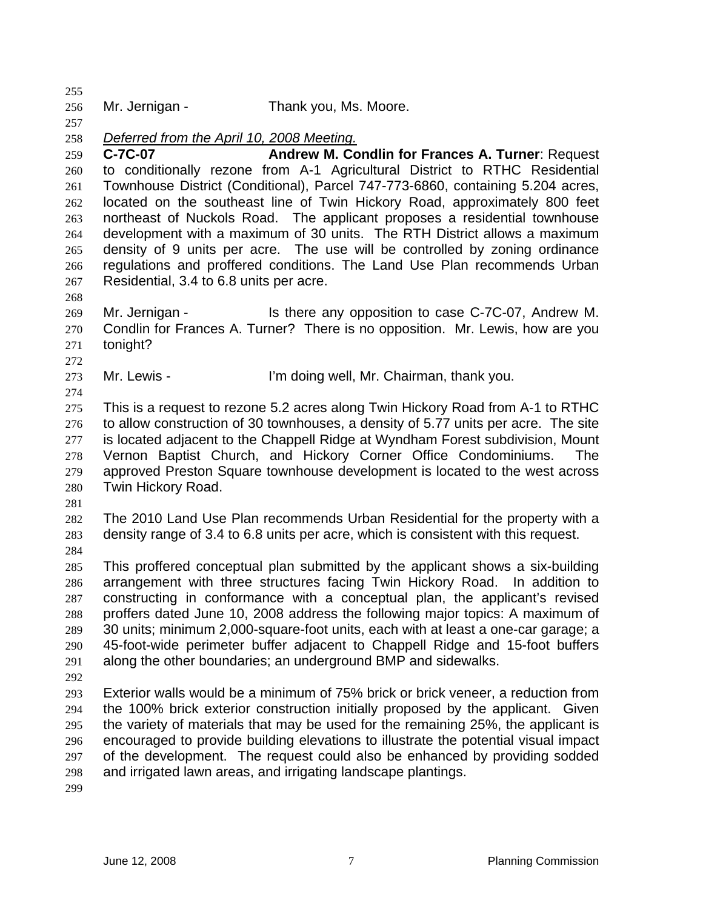256 Mr. Jernigan - Thank you, Ms. Moore.

257

268

272

274

255

258 *Deferred from the April 10, 2008 Meeting.*

259

260 261 262 263 264 265 266 267 **C-7C-07 Andrew M. Condlin for Frances A. Turner**: Request to conditionally rezone from A-1 Agricultural District to RTHC Residential Townhouse District (Conditional), Parcel 747-773-6860, containing 5.204 acres, located on the southeast line of Twin Hickory Road, approximately 800 feet northeast of Nuckols Road. The applicant proposes a residential townhouse development with a maximum of 30 units. The RTH District allows a maximum density of 9 units per acre. The use will be controlled by zoning ordinance regulations and proffered conditions. The Land Use Plan recommends Urban Residential, 3.4 to 6.8 units per acre.

269 270 271 Mr. Jernigan - Is there any opposition to case C-7C-07, Andrew M. Condlin for Frances A. Turner? There is no opposition. Mr. Lewis, how are you tonight?

273 Mr. Lewis - The Text I'm doing well, Mr. Chairman, thank you.

275 276 277 278 279 280 This is a request to rezone 5.2 acres along Twin Hickory Road from A-1 to RTHC to allow construction of 30 townhouses, a density of 5.77 units per acre. The site is located adjacent to the Chappell Ridge at Wyndham Forest subdivision, Mount Vernon Baptist Church, and Hickory Corner Office Condominiums. The approved Preston Square townhouse development is located to the west across Twin Hickory Road.

281

282 283 The 2010 Land Use Plan recommends Urban Residential for the property with a density range of 3.4 to 6.8 units per acre, which is consistent with this request.

284

285 286 287 288 289 290 291 This proffered conceptual plan submitted by the applicant shows a six-building arrangement with three structures facing Twin Hickory Road. In addition to constructing in conformance with a conceptual plan, the applicant's revised proffers dated June 10, 2008 address the following major topics: A maximum of 30 units; minimum 2,000-square-foot units, each with at least a one-car garage; a 45-foot-wide perimeter buffer adjacent to Chappell Ridge and 15-foot buffers along the other boundaries; an underground BMP and sidewalks.

292

293 294 295 296 297 298 Exterior walls would be a minimum of 75% brick or brick veneer, a reduction from the 100% brick exterior construction initially proposed by the applicant. Given the variety of materials that may be used for the remaining 25%, the applicant is encouraged to provide building elevations to illustrate the potential visual impact of the development. The request could also be enhanced by providing sodded and irrigated lawn areas, and irrigating landscape plantings.

299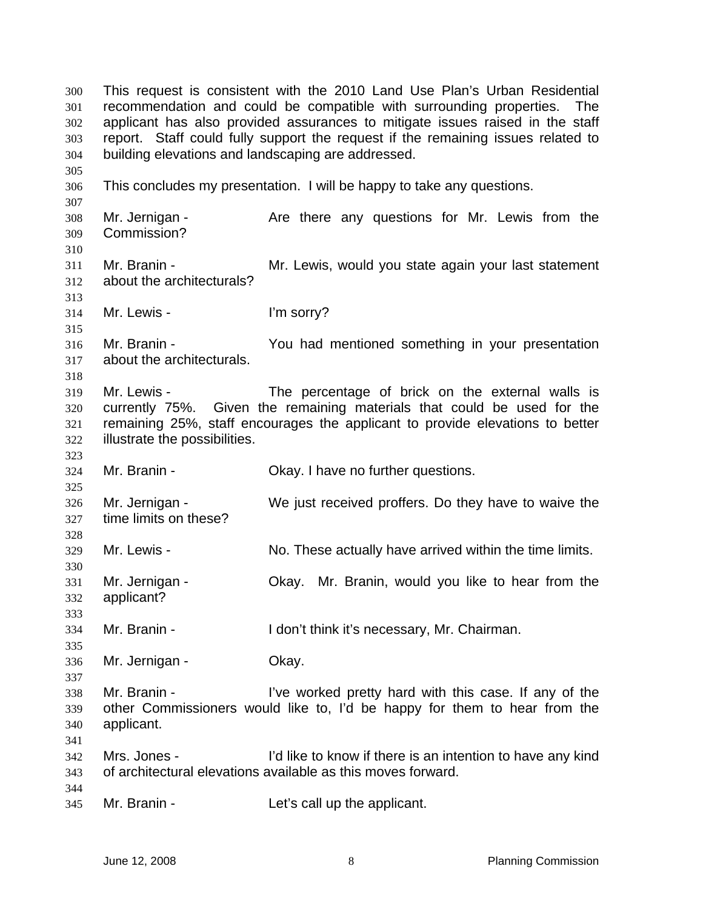This request is consistent with the 2010 Land Use Plan's Urban Residential recommendation and could be compatible with surrounding properties. The applicant has also provided assurances to mitigate issues raised in the staff report. Staff could fully support the request if the remaining issues related to building elevations and landscaping are addressed. 300 301 302 303 304 305 306 307 308 309 310 311 312 313 314 315 316 317 318 319 320 321 322 323 324 325 326 327 328 329 330 331 332 333 334 335 336 337 338 339 340 341 342 343 344 345 This concludes my presentation. I will be happy to take any questions. Mr. Jernigan - Are there any questions for Mr. Lewis from the Commission? Mr. Branin - **Mr. Lewis, would you state again your last statement** about the architecturals? Mr. Lewis - The Term of The Sorry? Mr. Branin - You had mentioned something in your presentation about the architecturals. Mr. Lewis - The percentage of brick on the external walls is currently 75%. Given the remaining materials that could be used for the remaining 25%, staff encourages the applicant to provide elevations to better illustrate the possibilities. Mr. Branin - Ckay. I have no further questions. Mr. Jernigan - We just received proffers. Do they have to waive the time limits on these? Mr. Lewis - No. These actually have arrived within the time limits. Mr. Jernigan - Okay. Mr. Branin, would you like to hear from the applicant? Mr. Branin - I don't think it's necessary, Mr. Chairman. Mr. Jernigan - **Okay.** Mr. Branin - This is a live worked pretty hard with this case. If any of the other Commissioners would like to, I'd be happy for them to hear from the applicant. Mrs. Jones - I'd like to know if there is an intention to have any kind of architectural elevations available as this moves forward. Mr. Branin - The Let's call up the applicant.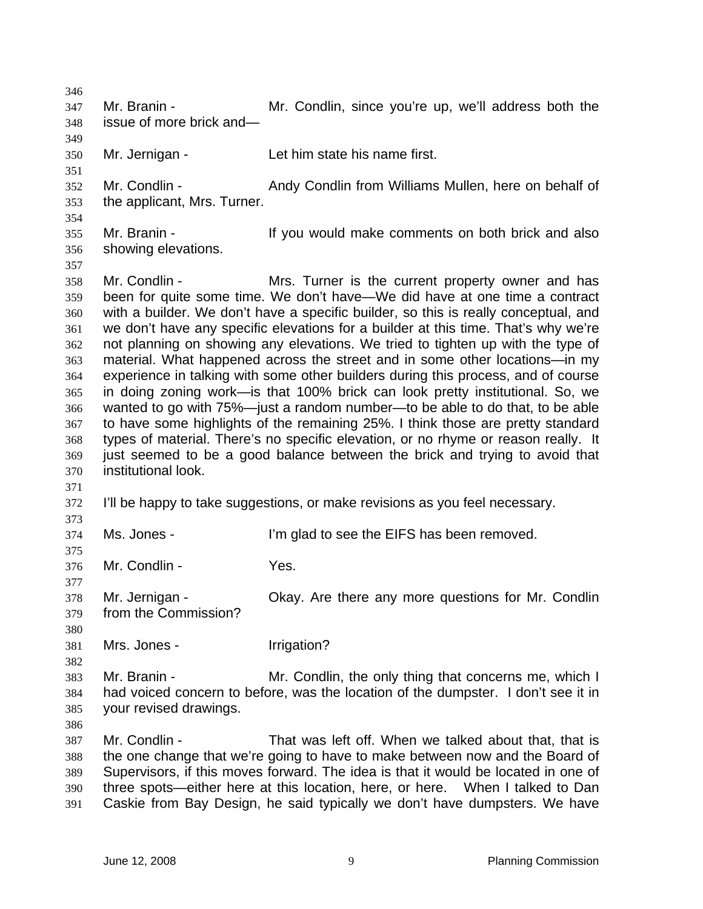346 347 348 349 350 351 352 353 354 355 356 357 358 359 360 361 362 363 364 365 366 367 368 369 370 371 372 373 374 375 376 377 378 379 380 381 382 383 384 385 386 387 388 389 390 391 Mr. Branin - The Mr. Condlin, since you're up, we'll address both the issue of more brick and— Mr. Jernigan - Let him state his name first. Mr. Condlin - Andy Condlin from Williams Mullen, here on behalf of the applicant, Mrs. Turner. Mr. Branin - The State of the Vou would make comments on both brick and also showing elevations. Mr. Condlin - Mrs. Turner is the current property owner and has been for quite some time. We don't have—We did have at one time a contract with a builder. We don't have a specific builder, so this is really conceptual, and we don't have any specific elevations for a builder at this time. That's why we're not planning on showing any elevations. We tried to tighten up with the type of material. What happened across the street and in some other locations—in my experience in talking with some other builders during this process, and of course in doing zoning work—is that 100% brick can look pretty institutional. So, we wanted to go with 75%—just a random number—to be able to do that, to be able to have some highlights of the remaining 25%. I think those are pretty standard types of material. There's no specific elevation, or no rhyme or reason really. It just seemed to be a good balance between the brick and trying to avoid that institutional look. I'll be happy to take suggestions, or make revisions as you feel necessary. Ms. Jones - I'm glad to see the EIFS has been removed. Mr. Condlin - Yes. Mr. Jernigan - Ckay. Are there any more questions for Mr. Condlin from the Commission? Mrs. Jones - The Irrigation? Mr. Branin - Mr. Condlin, the only thing that concerns me, which I had voiced concern to before, was the location of the dumpster. I don't see it in your revised drawings. Mr. Condlin - That was left off. When we talked about that, that is the one change that we're going to have to make between now and the Board of Supervisors, if this moves forward. The idea is that it would be located in one of three spots—either here at this location, here, or here. When I talked to Dan Caskie from Bay Design, he said typically we don't have dumpsters. We have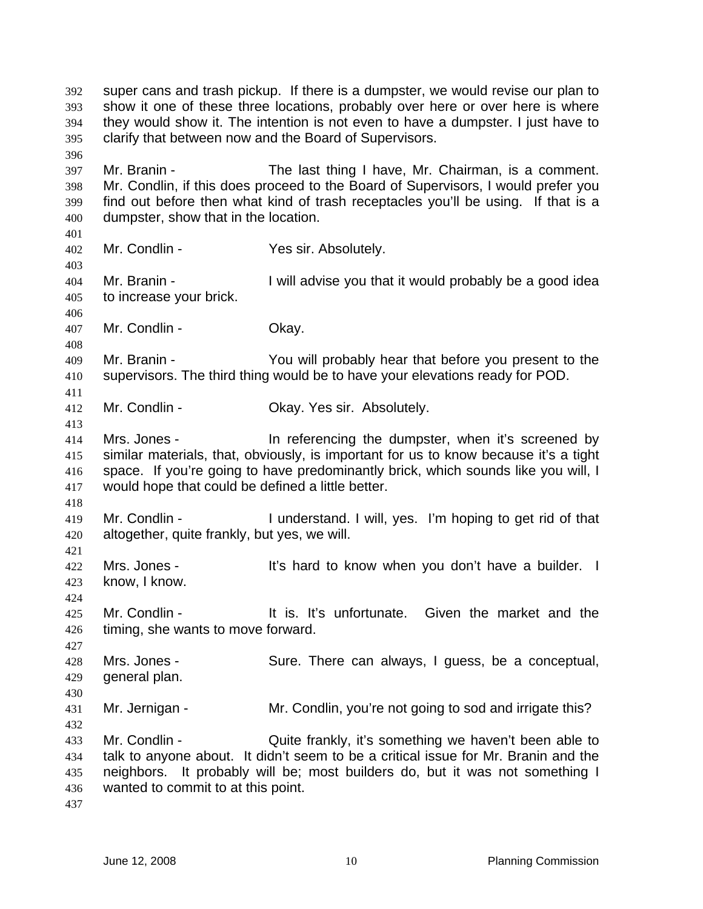super cans and trash pickup. If there is a dumpster, we would revise our plan to show it one of these three locations, probably over here or over here is where they would show it. The intention is not even to have a dumpster. I just have to clarify that between now and the Board of Supervisors. 392 393 394 395 396 397 398 399 400 401 402 403 404 405 406 407 408 409 410 411 412 413 414 415 416 417 418 419 420 421 422 423 424 425 426 427 428 429 430 431 432 433 434 435 436 437 Mr. Branin - The last thing I have, Mr. Chairman, is a comment. Mr. Condlin, if this does proceed to the Board of Supervisors, I would prefer you find out before then what kind of trash receptacles you'll be using. If that is a dumpster, show that in the location. Mr. Condlin - Yes sir. Absolutely. Mr. Branin - **I** will advise you that it would probably be a good idea to increase your brick. Mr. Condlin - Chay. Mr. Branin - You will probably hear that before you present to the supervisors. The third thing would be to have your elevations ready for POD. Mr. Condlin - Chay. Yes sir. Absolutely. Mrs. Jones - In referencing the dumpster, when it's screened by similar materials, that, obviously, is important for us to know because it's a tight space. If you're going to have predominantly brick, which sounds like you will, I would hope that could be defined a little better. Mr. Condlin - I understand. I will, yes. I'm hoping to get rid of that altogether, quite frankly, but yes, we will. Mrs. Jones - It's hard to know when you don't have a builder. I know, I know. Mr. Condlin - The State of the It is. It's unfortunate. Given the market and the timing, she wants to move forward. Mrs. Jones - Sure. There can always, I guess, be a conceptual, general plan. Mr. Jernigan - Mr. Condlin, you're not going to sod and irrigate this? Mr. Condlin - Quite frankly, it's something we haven't been able to talk to anyone about. It didn't seem to be a critical issue for Mr. Branin and the neighbors. It probably will be; most builders do, but it was not something I wanted to commit to at this point.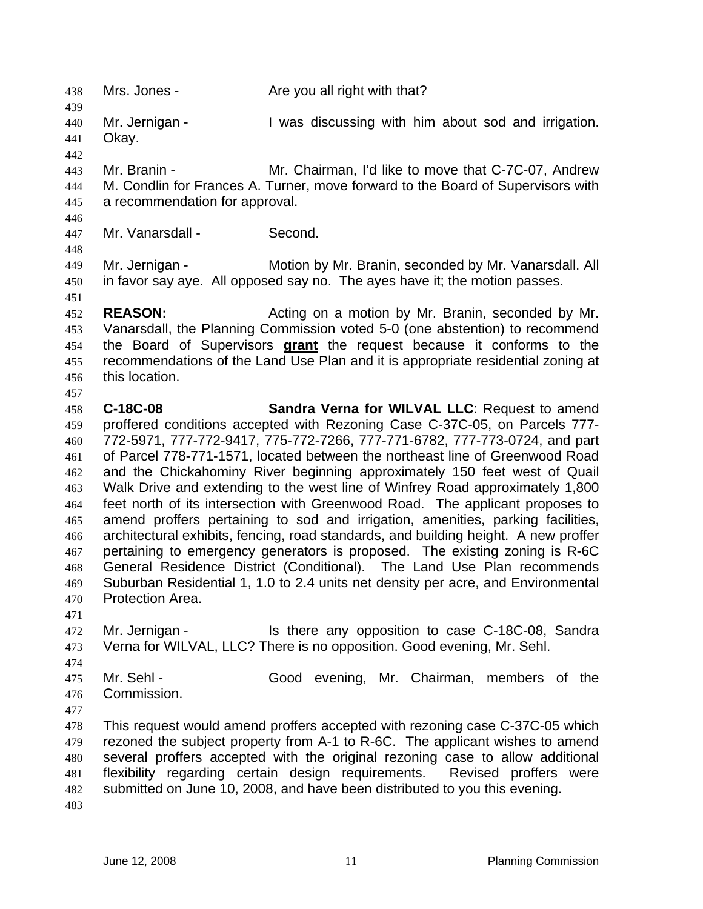438 Mrs. Jones - Are you all right with that? 439 440 441 442 443 444 445 446 447 448 449 450 451 452 453 Mr. Jernigan - I was discussing with him about sod and irrigation. Okay. Mr. Branin - **Mr. Chairman, I'd like to move that C-7C-07, Andrew** M. Condlin for Frances A. Turner, move forward to the Board of Supervisors with a recommendation for approval. Mr. Vanarsdall - Second. Mr. Jernigan - **Motion by Mr. Branin, seconded by Mr. Vanarsdall. All** in favor say aye. All opposed say no. The ayes have it; the motion passes. **REASON: Acting on a motion by Mr. Branin, seconded by Mr. REASON:** Vanarsdall, the Planning Commission voted 5-0 (one abstention) to recommend the Board of Supervisors **grant** the request because it conforms to the recommendations of the Land Use Plan and it is appropriate residential zoning at this location. 454 455 456 457 458 459 460 461 462 463 464 465 466 467 468 469 470 471 472 473 474 475 476 477 478 479 480 481 482 483 **C-18C-08 Sandra Verna for WILVAL LLC**: Request to amend proffered conditions accepted with Rezoning Case C-37C-05, on Parcels 777- 772-5971, 777-772-9417, 775-772-7266, 777-771-6782, 777-773-0724, and part of Parcel 778-771-1571, located between the northeast line of Greenwood Road and the Chickahominy River beginning approximately 150 feet west of Quail Walk Drive and extending to the west line of Winfrey Road approximately 1,800 feet north of its intersection with Greenwood Road. The applicant proposes to amend proffers pertaining to sod and irrigation, amenities, parking facilities, architectural exhibits, fencing, road standards, and building height. A new proffer pertaining to emergency generators is proposed. The existing zoning is R-6C General Residence District (Conditional). The Land Use Plan recommends Suburban Residential 1, 1.0 to 2.4 units net density per acre, and Environmental Protection Area. Mr. Jernigan - Is there any opposition to case C-18C-08, Sandra Verna for WILVAL, LLC? There is no opposition. Good evening, Mr. Sehl. Mr. Sehl - Good evening, Mr. Chairman, members of the Commission. This request would amend proffers accepted with rezoning case C-37C-05 which rezoned the subject property from A-1 to R-6C. The applicant wishes to amend several proffers accepted with the original rezoning case to allow additional flexibility regarding certain design requirements. Revised proffers were submitted on June 10, 2008, and have been distributed to you this evening.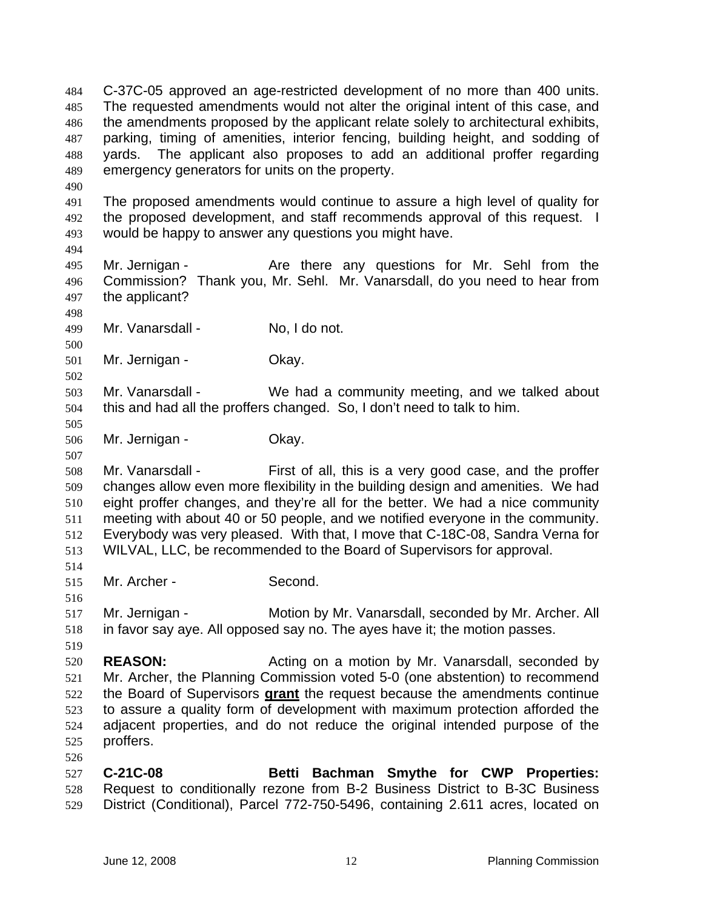C-37C-05 approved an age-restricted development of no more than 400 units. The requested amendments would not alter the original intent of this case, and the amendments proposed by the applicant relate solely to architectural exhibits, parking, timing of amenities, interior fencing, building height, and sodding of yards. The applicant also proposes to add an additional proffer regarding emergency generators for units on the property. 484 485 486 487 488 489 490 491 492 493 494 495 496 497 498 499 500 501 502 503 504 505 506 507 508 509 510 511 512 513 514 515 516 517 518 519 520 521 The proposed amendments would continue to assure a high level of quality for the proposed development, and staff recommends approval of this request. I would be happy to answer any questions you might have. Mr. Jernigan - The Are there any questions for Mr. Sehl from the Commission? Thank you, Mr. Sehl. Mr. Vanarsdall, do you need to hear from the applicant? Mr. Vanarsdall - No, I do not. Mr. Jernigan - Ckay. Mr. Vanarsdall - We had a community meeting, and we talked about this and had all the proffers changed. So, I don't need to talk to him. Mr. Jernigan - Ckay. Mr. Vanarsdall - First of all, this is a very good case, and the proffer changes allow even more flexibility in the building design and amenities. We had eight proffer changes, and they're all for the better. We had a nice community meeting with about 40 or 50 people, and we notified everyone in the community. Everybody was very pleased. With that, I move that C-18C-08, Sandra Verna for WILVAL, LLC, be recommended to the Board of Supervisors for approval. Mr. Archer - Second. Mr. Jernigan - **Motion by Mr. Vanarsdall, seconded by Mr. Archer. All** in favor say aye. All opposed say no. The ayes have it; the motion passes. **REASON:** Acting on a motion by Mr. Vanarsdall, seconded by Mr. Archer, the Planning Commission voted 5-0 (one abstention) to recommend the Board of Supervisors **grant** the request because the amendments continue to assure a quality form of development with maximum protection afforded the adjacent properties, and do not reduce the original intended purpose of the proffers. 522 523 524 525 526 527 528 529 **C-21C-08 Betti Bachman Smythe for CWP Properties:** Request to conditionally rezone from B-2 Business District to B-3C Business District (Conditional), Parcel 772-750-5496, containing 2.611 acres, located on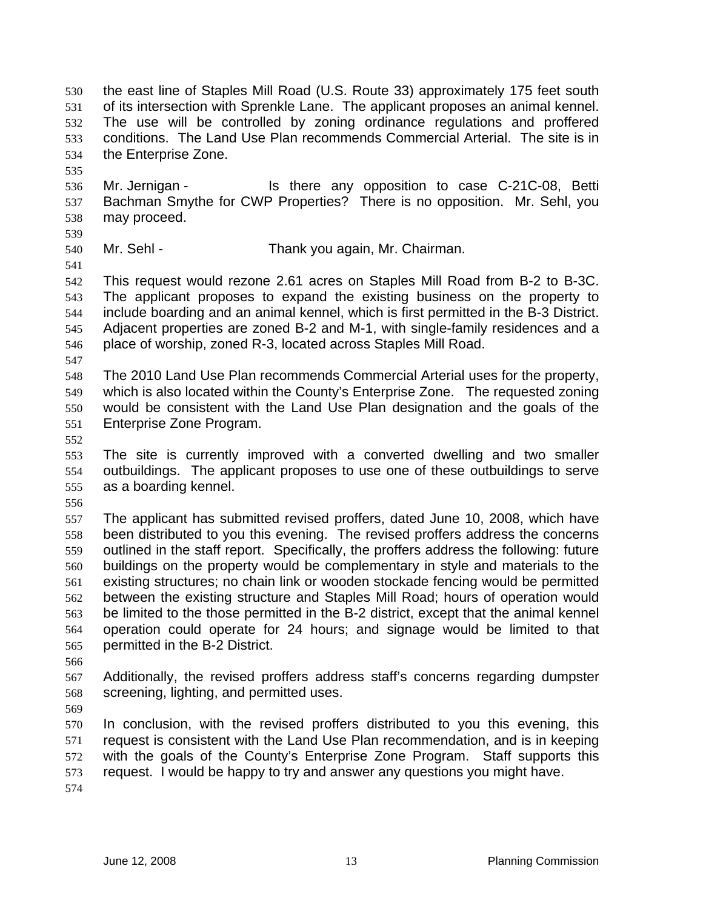the east line of Staples Mill Road (U.S. Route 33) approximately 175 feet south of its intersection with Sprenkle Lane. The applicant proposes an animal kennel. The use will be controlled by zoning ordinance regulations and proffered conditions. The Land Use Plan recommends Commercial Arterial. The site is in the Enterprise Zone. 530 531 532 533 534

536 537 538 Mr. Jernigan - The Is there any opposition to case C-21C-08, Betti Bachman Smythe for CWP Properties? There is no opposition. Mr. Sehl, you may proceed.

539 540

541

535

Mr. Sehl - Thank you again, Mr. Chairman.

- 542 543 544 545 546 This request would rezone 2.61 acres on Staples Mill Road from B-2 to B-3C. The applicant proposes to expand the existing business on the property to include boarding and an animal kennel, which is first permitted in the B-3 District. Adjacent properties are zoned B-2 and M-1, with single-family residences and a place of worship, zoned R-3, located across Staples Mill Road.
- 547

548 549 550 551 The 2010 Land Use Plan recommends Commercial Arterial uses for the property, which is also located within the County's Enterprise Zone. The requested zoning would be consistent with the Land Use Plan designation and the goals of the Enterprise Zone Program.

552

553 554 555 The site is currently improved with a converted dwelling and two smaller outbuildings. The applicant proposes to use one of these outbuildings to serve as a boarding kennel.

556

557 558 559 560 561 562 563 564 565 The applicant has submitted revised proffers, dated June 10, 2008, which have been distributed to you this evening. The revised proffers address the concerns outlined in the staff report. Specifically, the proffers address the following: future buildings on the property would be complementary in style and materials to the existing structures; no chain link or wooden stockade fencing would be permitted between the existing structure and Staples Mill Road; hours of operation would be limited to the those permitted in the B-2 district, except that the animal kennel operation could operate for 24 hours; and signage would be limited to that permitted in the B-2 District.

566

567 568 Additionally, the revised proffers address staff's concerns regarding dumpster screening, lighting, and permitted uses.

569

570 571 572 573 574 In conclusion, with the revised proffers distributed to you this evening, this request is consistent with the Land Use Plan recommendation, and is in keeping with the goals of the County's Enterprise Zone Program. Staff supports this request. I would be happy to try and answer any questions you might have.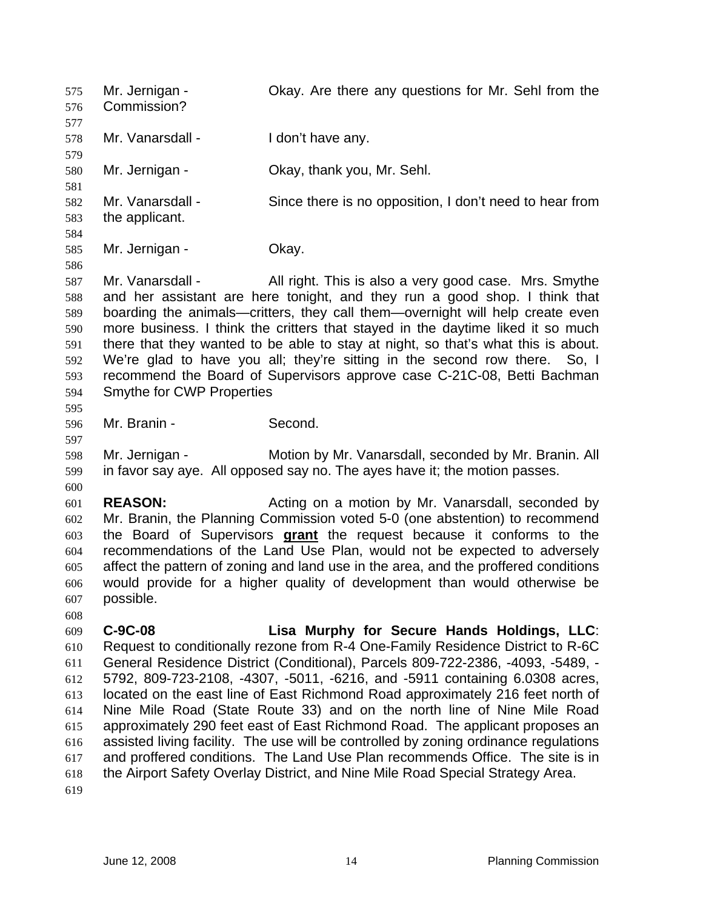Mr. Jernigan - Okay. Are there any questions for Mr. Sehl from the Commission? 575 576 577 578 579 580 581 582 583 584 585 586 587 588 589 590 591 592 593 594 595 596 597 598 599 600 601 602 Mr. Vanarsdall - I don't have any. Mr. Jernigan - Ckay, thank you, Mr. Sehl. Mr. Vanarsdall - Since there is no opposition, I don't need to hear from the applicant. Mr. Jernigan - Ckay. Mr. Vanarsdall - All right. This is also a very good case. Mrs. Smythe and her assistant are here tonight, and they run a good shop. I think that boarding the animals—critters, they call them—overnight will help create even more business. I think the critters that stayed in the daytime liked it so much there that they wanted to be able to stay at night, so that's what this is about. We're glad to have you all; they're sitting in the second row there. So, I recommend the Board of Supervisors approve case C-21C-08, Betti Bachman Smythe for CWP Properties Mr. Branin - Second. Mr. Jernigan - Motion by Mr. Vanarsdall, seconded by Mr. Branin. All in favor say aye. All opposed say no. The ayes have it; the motion passes. **REASON:** Acting on a motion by Mr. Vanarsdall, seconded by Mr. Branin, the Planning Commission voted 5-0 (one abstention) to recommend the Board of Supervisors **grant** the request because it conforms to the recommendations of the Land Use Plan, would not be expected to adversely affect the pattern of zoning and land use in the area, and the proffered conditions would provide for a higher quality of development than would otherwise be possible. 603 604 605 606 607 608 609 610 611 612 613 614 615 616 617 618 619 **C-9C-08 Lisa Murphy for Secure Hands Holdings, LLC**: Request to conditionally rezone from R-4 One-Family Residence District to R-6C General Residence District (Conditional), Parcels 809-722-2386, -4093, -5489, - 5792, 809-723-2108, -4307, -5011, -6216, and -5911 containing 6.0308 acres, located on the east line of East Richmond Road approximately 216 feet north of Nine Mile Road (State Route 33) and on the north line of Nine Mile Road approximately 290 feet east of East Richmond Road. The applicant proposes an assisted living facility. The use will be controlled by zoning ordinance regulations and proffered conditions. The Land Use Plan recommends Office. The site is in the Airport Safety Overlay District, and Nine Mile Road Special Strategy Area.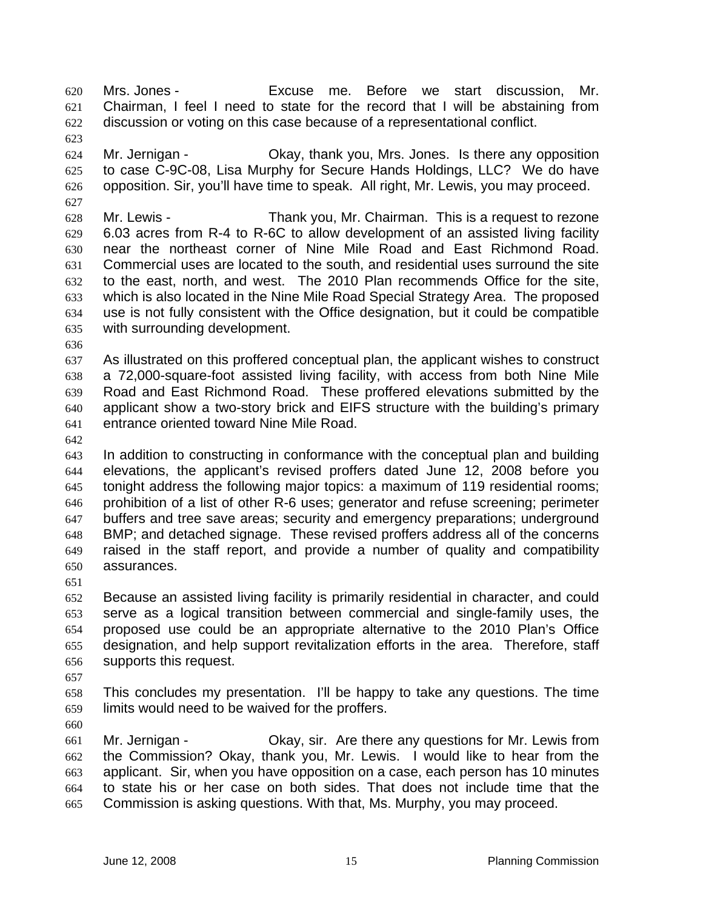Mrs. Jones - Excuse me. Before we start discussion, Mr. Chairman, I feel I need to state for the record that I will be abstaining from discussion or voting on this case because of a representational conflict. 620 621 622

624 625 626 Mr. Jernigan - Ckay, thank you, Mrs. Jones. Is there any opposition to case C-9C-08, Lisa Murphy for Secure Hands Holdings, LLC? We do have opposition. Sir, you'll have time to speak. All right, Mr. Lewis, you may proceed.

628 629 630 631 632 633 634 635 Mr. Lewis - Thank you, Mr. Chairman. This is a request to rezone 6.03 acres from R-4 to R-6C to allow development of an assisted living facility near the northeast corner of Nine Mile Road and East Richmond Road. Commercial uses are located to the south, and residential uses surround the site to the east, north, and west. The 2010 Plan recommends Office for the site, which is also located in the Nine Mile Road Special Strategy Area. The proposed use is not fully consistent with the Office designation, but it could be compatible with surrounding development.

636

623

627

637 638 639 640 641 As illustrated on this proffered conceptual plan, the applicant wishes to construct a 72,000-square-foot assisted living facility, with access from both Nine Mile Road and East Richmond Road. These proffered elevations submitted by the applicant show a two-story brick and EIFS structure with the building's primary entrance oriented toward Nine Mile Road.

642

643 644 645 646 647 648 649 650 In addition to constructing in conformance with the conceptual plan and building elevations, the applicant's revised proffers dated June 12, 2008 before you tonight address the following major topics: a maximum of 119 residential rooms; prohibition of a list of other R-6 uses; generator and refuse screening; perimeter buffers and tree save areas; security and emergency preparations; underground BMP; and detached signage. These revised proffers address all of the concerns raised in the staff report, and provide a number of quality and compatibility assurances.

651

652 653 654 655 656 Because an assisted living facility is primarily residential in character, and could serve as a logical transition between commercial and single-family uses, the proposed use could be an appropriate alternative to the 2010 Plan's Office designation, and help support revitalization efforts in the area. Therefore, staff supports this request.

657

658 659 This concludes my presentation. I'll be happy to take any questions. The time limits would need to be waived for the proffers.

660

661 662 663 664 665 Mr. Jernigan - Okay, sir. Are there any questions for Mr. Lewis from the Commission? Okay, thank you, Mr. Lewis. I would like to hear from the applicant. Sir, when you have opposition on a case, each person has 10 minutes to state his or her case on both sides. That does not include time that the Commission is asking questions. With that, Ms. Murphy, you may proceed.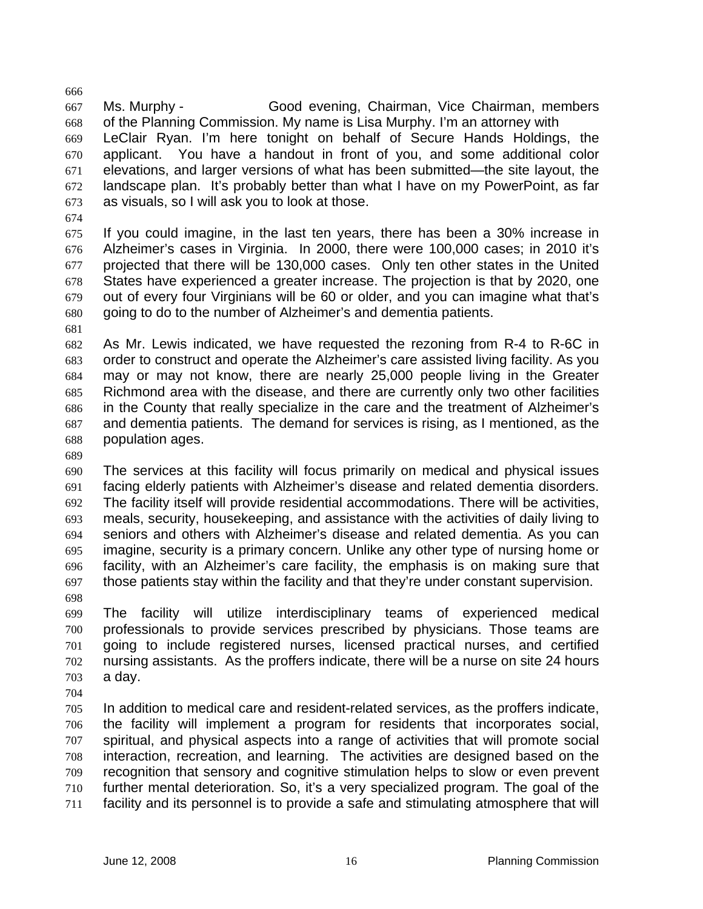667 668 669 670 671 672 673 Ms. Murphy - Good evening, Chairman, Vice Chairman, members of the Planning Commission. My name is Lisa Murphy. I'm an attorney with LeClair Ryan. I'm here tonight on behalf of Secure Hands Holdings, the applicant. You have a handout in front of you, and some additional color elevations, and larger versions of what has been submitted—the site layout, the landscape plan. It's probably better than what I have on my PowerPoint, as far as visuals, so I will ask you to look at those.

674

666

675 676 677 678 679 680 If you could imagine, in the last ten years, there has been a 30% increase in Alzheimer's cases in Virginia. In 2000, there were 100,000 cases; in 2010 it's projected that there will be 130,000 cases. Only ten other states in the United States have experienced a greater increase. The projection is that by 2020, one out of every four Virginians will be 60 or older, and you can imagine what that's going to do to the number of Alzheimer's and dementia patients.

681

682 683 684 685 686 687 688 As Mr. Lewis indicated, we have requested the rezoning from R-4 to R-6C in order to construct and operate the Alzheimer's care assisted living facility. As you may or may not know, there are nearly 25,000 people living in the Greater Richmond area with the disease, and there are currently only two other facilities in the County that really specialize in the care and the treatment of Alzheimer's and dementia patients. The demand for services is rising, as I mentioned, as the population ages.

689

690 691 692 693 694 695 696 697 698 The services at this facility will focus primarily on medical and physical issues facing elderly patients with Alzheimer's disease and related dementia disorders. The facility itself will provide residential accommodations. There will be activities, meals, security, housekeeping, and assistance with the activities of daily living to seniors and others with Alzheimer's disease and related dementia. As you can imagine, security is a primary concern. Unlike any other type of nursing home or facility, with an Alzheimer's care facility, the emphasis is on making sure that those patients stay within the facility and that they're under constant supervision.

- 699 700 701 702 703 The facility will utilize interdisciplinary teams of experienced medical professionals to provide services prescribed by physicians. Those teams are going to include registered nurses, licensed practical nurses, and certified nursing assistants. As the proffers indicate, there will be a nurse on site 24 hours a day.
- 704

705 706 707 708 709 710 711 In addition to medical care and resident-related services, as the proffers indicate, the facility will implement a program for residents that incorporates social, spiritual, and physical aspects into a range of activities that will promote social interaction, recreation, and learning. The activities are designed based on the recognition that sensory and cognitive stimulation helps to slow or even prevent further mental deterioration. So, it's a very specialized program. The goal of the facility and its personnel is to provide a safe and stimulating atmosphere that will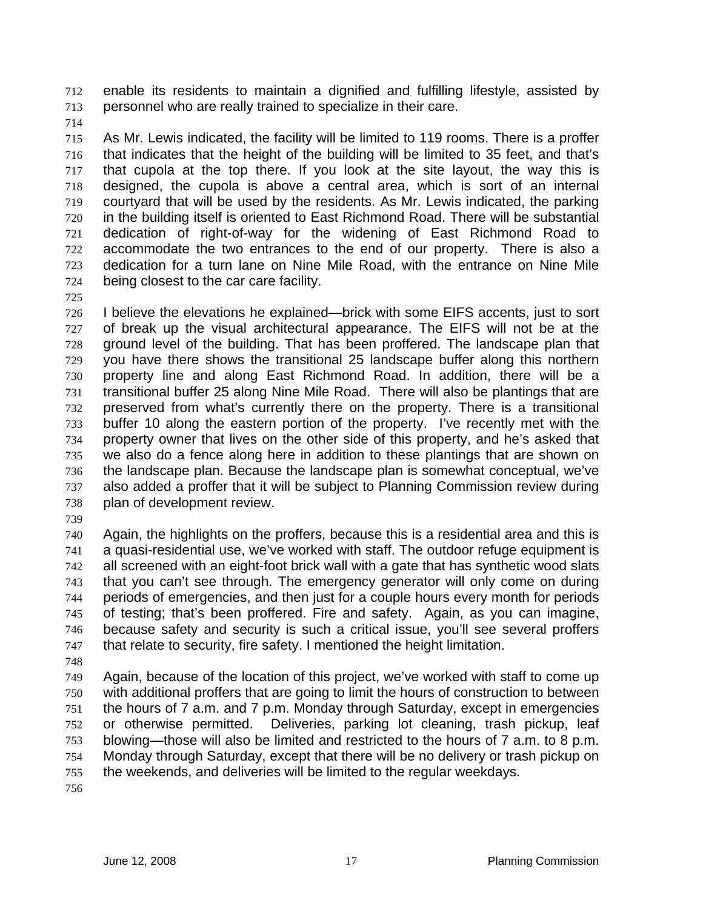enable its residents to maintain a dignified and fulfilling lifestyle, assisted by personnel who are really trained to specialize in their care. 712 713

714

715 716 717 718 719 720 721 722 723 724 As Mr. Lewis indicated, the facility will be limited to 119 rooms. There is a proffer that indicates that the height of the building will be limited to 35 feet, and that's that cupola at the top there. If you look at the site layout, the way this is designed, the cupola is above a central area, which is sort of an internal courtyard that will be used by the residents. As Mr. Lewis indicated, the parking in the building itself is oriented to East Richmond Road. There will be substantial dedication of right-of-way for the widening of East Richmond Road to accommodate the two entrances to the end of our property. There is also a dedication for a turn lane on Nine Mile Road, with the entrance on Nine Mile being closest to the car care facility.

725

726 727 728 729 730 731 732 733 734 735 736 737 738 I believe the elevations he explained—brick with some EIFS accents, just to sort of break up the visual architectural appearance. The EIFS will not be at the ground level of the building. That has been proffered. The landscape plan that you have there shows the transitional 25 landscape buffer along this northern property line and along East Richmond Road. In addition, there will be a transitional buffer 25 along Nine Mile Road. There will also be plantings that are preserved from what's currently there on the property. There is a transitional buffer 10 along the eastern portion of the property. I've recently met with the property owner that lives on the other side of this property, and he's asked that we also do a fence along here in addition to these plantings that are shown on the landscape plan. Because the landscape plan is somewhat conceptual, we've also added a proffer that it will be subject to Planning Commission review during plan of development review.

739

740 741 742 743 744 745 746 747 Again, the highlights on the proffers, because this is a residential area and this is a quasi-residential use, we've worked with staff. The outdoor refuge equipment is all screened with an eight-foot brick wall with a gate that has synthetic wood slats that you can't see through. The emergency generator will only come on during periods of emergencies, and then just for a couple hours every month for periods of testing; that's been proffered. Fire and safety. Again, as you can imagine, because safety and security is such a critical issue, you'll see several proffers that relate to security, fire safety. I mentioned the height limitation.

748

749 750 751 752 753 754 755 Again, because of the location of this project, we've worked with staff to come up with additional proffers that are going to limit the hours of construction to between the hours of 7 a.m. and 7 p.m. Monday through Saturday, except in emergencies or otherwise permitted. Deliveries, parking lot cleaning, trash pickup, leaf blowing—those will also be limited and restricted to the hours of 7 a.m. to 8 p.m. Monday through Saturday, except that there will be no delivery or trash pickup on the weekends, and deliveries will be limited to the regular weekdays.

756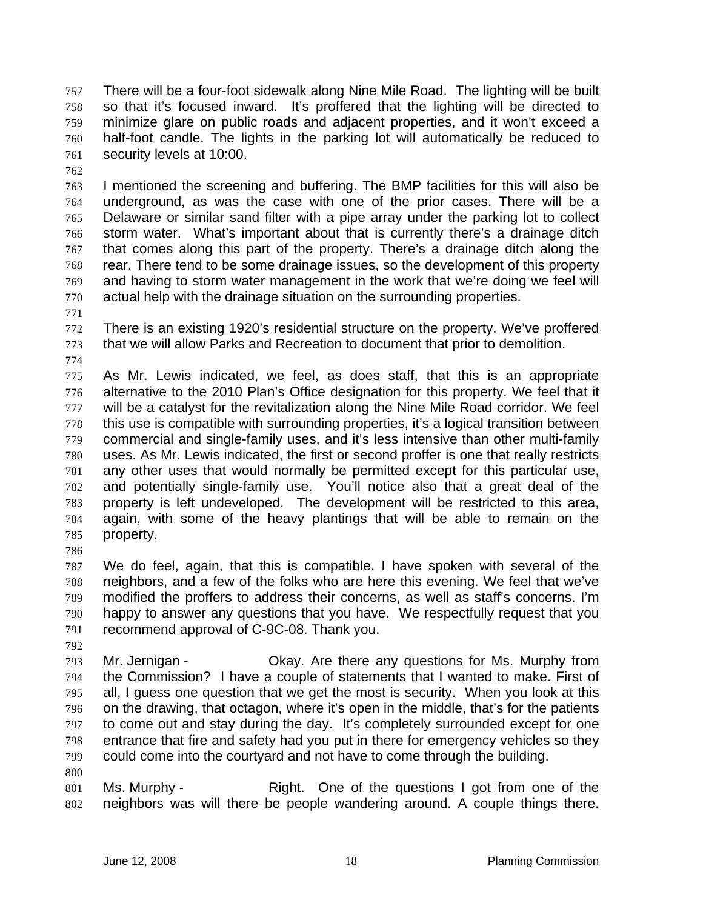There will be a four-foot sidewalk along Nine Mile Road. The lighting will be built so that it's focused inward. It's proffered that the lighting will be directed to minimize glare on public roads and adjacent properties, and it won't exceed a half-foot candle. The lights in the parking lot will automatically be reduced to security levels at 10:00. 757 758 759 760 761

762

763 764 765 766 767 768 769 770 I mentioned the screening and buffering. The BMP facilities for this will also be underground, as was the case with one of the prior cases. There will be a Delaware or similar sand filter with a pipe array under the parking lot to collect storm water. What's important about that is currently there's a drainage ditch that comes along this part of the property. There's a drainage ditch along the rear. There tend to be some drainage issues, so the development of this property and having to storm water management in the work that we're doing we feel will actual help with the drainage situation on the surrounding properties.

771

772 773 There is an existing 1920's residential structure on the property. We've proffered that we will allow Parks and Recreation to document that prior to demolition.

774

775 776 777 778 779 780 781 782 783 784 785 As Mr. Lewis indicated, we feel, as does staff, that this is an appropriate alternative to the 2010 Plan's Office designation for this property. We feel that it will be a catalyst for the revitalization along the Nine Mile Road corridor. We feel this use is compatible with surrounding properties, it's a logical transition between commercial and single-family uses, and it's less intensive than other multi-family uses. As Mr. Lewis indicated, the first or second proffer is one that really restricts any other uses that would normally be permitted except for this particular use, and potentially single-family use. You'll notice also that a great deal of the property is left undeveloped. The development will be restricted to this area, again, with some of the heavy plantings that will be able to remain on the property.

786

787 788 789 790 791 We do feel, again, that this is compatible. I have spoken with several of the neighbors, and a few of the folks who are here this evening. We feel that we've modified the proffers to address their concerns, as well as staff's concerns. I'm happy to answer any questions that you have. We respectfully request that you recommend approval of C-9C-08. Thank you.

792

793 794 795 796 797 798 799 Mr. Jernigan - Ckay. Are there any questions for Ms. Murphy from the Commission? I have a couple of statements that I wanted to make. First of all, I guess one question that we get the most is security. When you look at this on the drawing, that octagon, where it's open in the middle, that's for the patients to come out and stay during the day. It's completely surrounded except for one entrance that fire and safety had you put in there for emergency vehicles so they could come into the courtyard and not have to come through the building.

800

801 802 Ms. Murphy - Right. One of the questions I got from one of the neighbors was will there be people wandering around. A couple things there.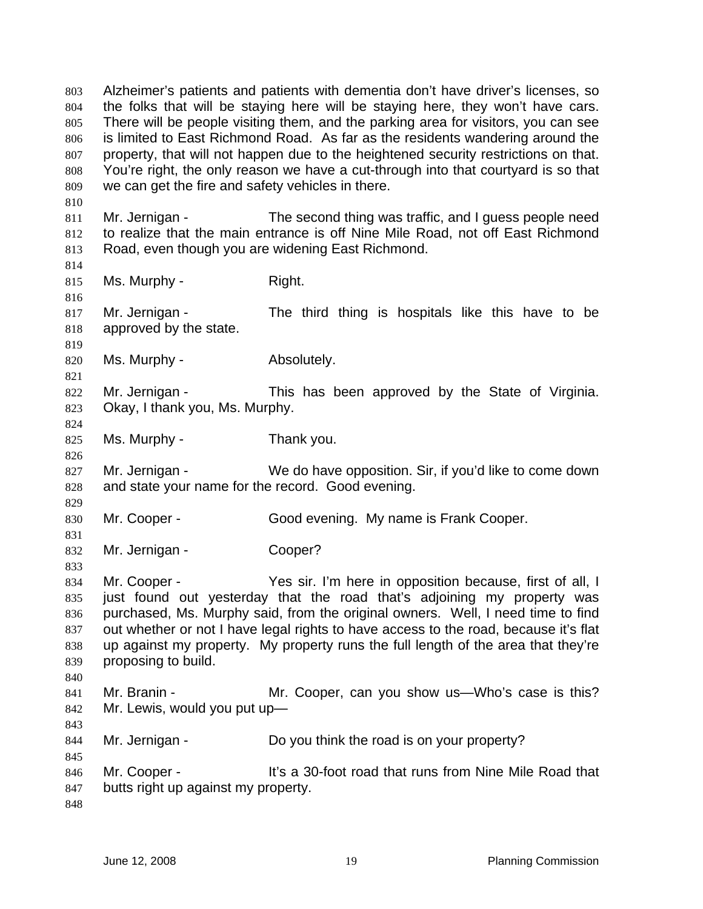Alzheimer's patients and patients with dementia don't have driver's licenses, so the folks that will be staying here will be staying here, they won't have cars. There will be people visiting them, and the parking area for visitors, you can see is limited to East Richmond Road. As far as the residents wandering around the property, that will not happen due to the heightened security restrictions on that. You're right, the only reason we have a cut-through into that courtyard is so that we can get the fire and safety vehicles in there. 803 804 805 806 807 808 809 810 811 812 813 814 815 816 817 818 819 820 821 822 823 824 825 826 827 828 829 830 831 832 833 834 835 836 837 838 839 840 841 842 843 844 845 846 847 848 Mr. Jernigan - The second thing was traffic, and I guess people need to realize that the main entrance is off Nine Mile Road, not off East Richmond Road, even though you are widening East Richmond. Ms. Murphy - Right. Mr. Jernigan - The third thing is hospitals like this have to be approved by the state. Ms. Murphy - Absolutely. Mr. Jernigan - This has been approved by the State of Virginia. Okay, I thank you, Ms. Murphy. Ms. Murphy - Thank you. Mr. Jernigan - We do have opposition. Sir, if you'd like to come down and state your name for the record. Good evening. Mr. Cooper - Good evening. My name is Frank Cooper. Mr. Jernigan - Cooper? Mr. Cooper - Yes sir. I'm here in opposition because, first of all, I just found out yesterday that the road that's adjoining my property was purchased, Ms. Murphy said, from the original owners. Well, I need time to find out whether or not I have legal rights to have access to the road, because it's flat up against my property. My property runs the full length of the area that they're proposing to build. Mr. Branin - The Mr. Cooper, can you show us—Who's case is this? Mr. Lewis, would you put up— Mr. Jernigan - Do you think the road is on your property? Mr. Cooper - The State of the School road that runs from Nine Mile Road that butts right up against my property.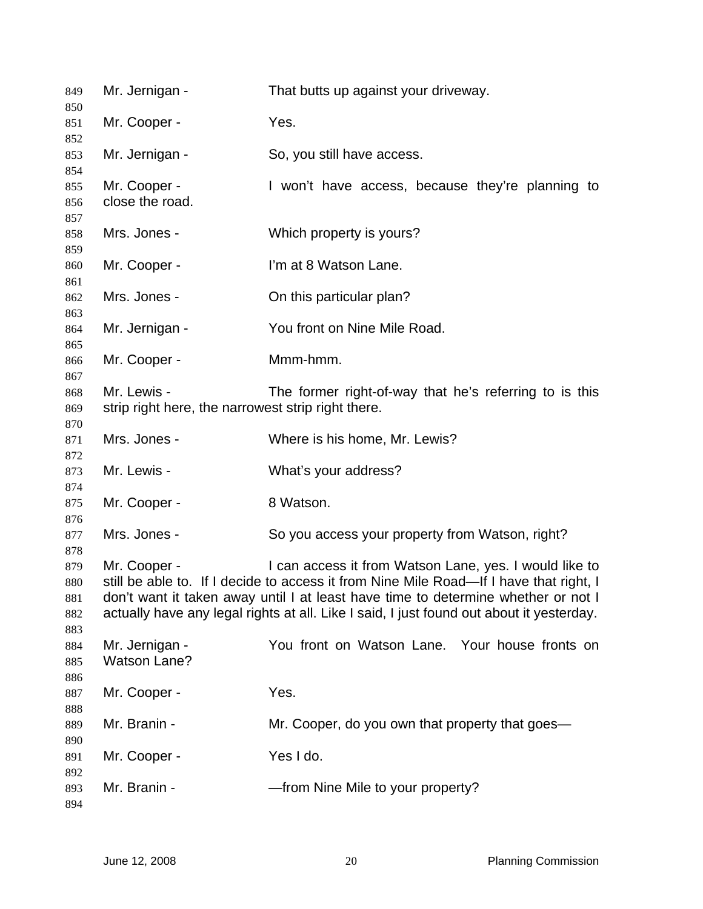| 849        | Mr. Jernigan -                                                                                                                                                                | That butts up against your driveway.                                                   |
|------------|-------------------------------------------------------------------------------------------------------------------------------------------------------------------------------|----------------------------------------------------------------------------------------|
| 850<br>851 | Mr. Cooper -                                                                                                                                                                  | Yes.                                                                                   |
| 852        |                                                                                                                                                                               |                                                                                        |
| 853<br>854 | Mr. Jernigan -                                                                                                                                                                | So, you still have access.                                                             |
| 855        | Mr. Cooper -                                                                                                                                                                  | I won't have access, because they're planning to                                       |
| 856        | close the road.                                                                                                                                                               |                                                                                        |
| 857        |                                                                                                                                                                               |                                                                                        |
| 858        | Mrs. Jones -                                                                                                                                                                  | Which property is yours?                                                               |
| 859        |                                                                                                                                                                               |                                                                                        |
| 860        | Mr. Cooper -                                                                                                                                                                  | I'm at 8 Watson Lane.                                                                  |
| 861        |                                                                                                                                                                               |                                                                                        |
| 862        | Mrs. Jones -                                                                                                                                                                  | On this particular plan?                                                               |
| 863        |                                                                                                                                                                               |                                                                                        |
| 864        | Mr. Jernigan -                                                                                                                                                                | You front on Nine Mile Road.                                                           |
| 865        |                                                                                                                                                                               |                                                                                        |
| 866        | Mr. Cooper -                                                                                                                                                                  | Mmm-hmm.                                                                               |
| 867        |                                                                                                                                                                               |                                                                                        |
| 868        | Mr. Lewis -                                                                                                                                                                   | The former right-of-way that he's referring to is this                                 |
| 869        | strip right here, the narrowest strip right there.                                                                                                                            |                                                                                        |
| 870        |                                                                                                                                                                               |                                                                                        |
| 871        | Mrs. Jones -                                                                                                                                                                  | Where is his home, Mr. Lewis?                                                          |
| 872        |                                                                                                                                                                               |                                                                                        |
| 873        | Mr. Lewis -                                                                                                                                                                   | What's your address?                                                                   |
| 874        |                                                                                                                                                                               |                                                                                        |
| 875        | Mr. Cooper -                                                                                                                                                                  | 8 Watson.                                                                              |
| 876        |                                                                                                                                                                               |                                                                                        |
| 877        | Mrs. Jones -                                                                                                                                                                  | So you access your property from Watson, right?                                        |
| 878        |                                                                                                                                                                               |                                                                                        |
| 879        | Mr. Cooper -                                                                                                                                                                  | I can access it from Watson Lane, yes. I would like to                                 |
| 880        |                                                                                                                                                                               | still be able to. If I decide to access it from Nine Mile Road—If I have that right, I |
| 881        | don't want it taken away until I at least have time to determine whether or not I<br>actually have any legal rights at all. Like I said, I just found out about it yesterday. |                                                                                        |
| 882        |                                                                                                                                                                               |                                                                                        |
| 883<br>884 | Mr. Jernigan -                                                                                                                                                                | You front on Watson Lane. Your house fronts on                                         |
| 885        | <b>Watson Lane?</b>                                                                                                                                                           |                                                                                        |
| 886        |                                                                                                                                                                               |                                                                                        |
| 887        | Mr. Cooper -                                                                                                                                                                  | Yes.                                                                                   |
| 888        |                                                                                                                                                                               |                                                                                        |
| 889        | Mr. Branin -                                                                                                                                                                  | Mr. Cooper, do you own that property that goes—                                        |
| 890        |                                                                                                                                                                               |                                                                                        |
| 891        | Mr. Cooper -                                                                                                                                                                  | Yes I do.                                                                              |
| 892        |                                                                                                                                                                               |                                                                                        |
| 893        | Mr. Branin -                                                                                                                                                                  | -from Nine Mile to your property?                                                      |
| 894        |                                                                                                                                                                               |                                                                                        |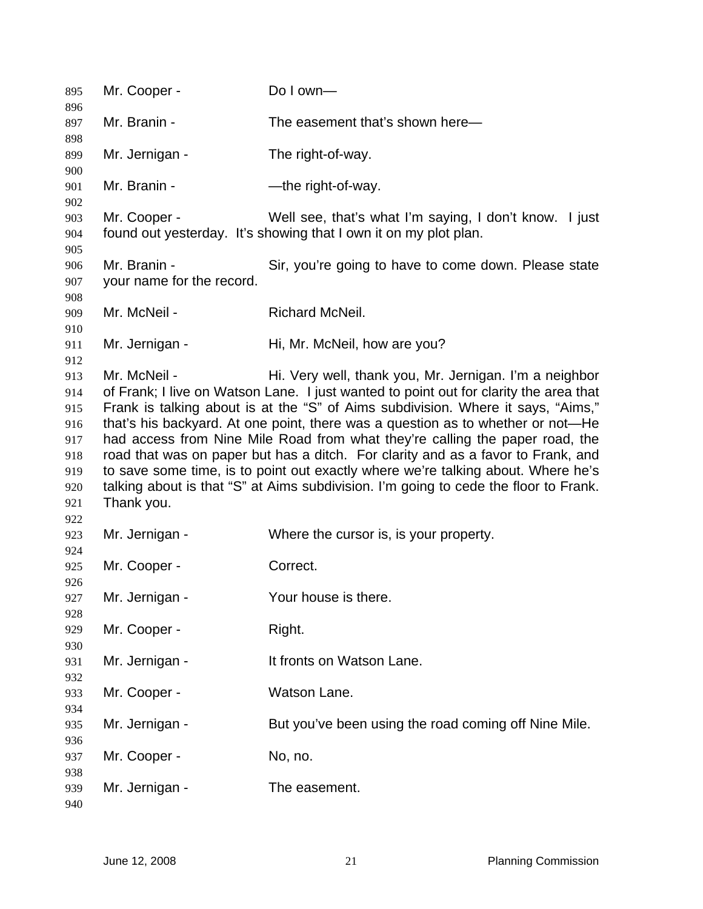| 895        | Mr. Cooper -              | Do I own-                                                                             |
|------------|---------------------------|---------------------------------------------------------------------------------------|
| 896<br>897 | Mr. Branin -              | The easement that's shown here-                                                       |
| 898        |                           |                                                                                       |
| 899<br>900 | Mr. Jernigan -            | The right-of-way.                                                                     |
| 901<br>902 | Mr. Branin -              | -the right-of-way.                                                                    |
| 903        | Mr. Cooper -              | Well see, that's what I'm saying, I don't know. I just                                |
| 904        |                           | found out yesterday. It's showing that I own it on my plot plan.                      |
| 905<br>906 | Mr. Branin -              | Sir, you're going to have to come down. Please state                                  |
| 907        | your name for the record. |                                                                                       |
| 908        |                           |                                                                                       |
| 909        | Mr. McNeil -              | Richard McNeil.                                                                       |
| 910        |                           |                                                                                       |
| 911        | Mr. Jernigan -            | Hi, Mr. McNeil, how are you?                                                          |
| 912        |                           |                                                                                       |
| 913        | Mr. McNeil -              | Hi. Very well, thank you, Mr. Jernigan. I'm a neighbor                                |
| 914        |                           | of Frank; I live on Watson Lane. I just wanted to point out for clarity the area that |
| 915        |                           | Frank is talking about is at the "S" of Aims subdivision. Where it says, "Aims,"      |
| 916        |                           | that's his backyard. At one point, there was a question as to whether or not—He       |
| 917        |                           | had access from Nine Mile Road from what they're calling the paper road, the          |
| 918        |                           | road that was on paper but has a ditch. For clarity and as a favor to Frank, and      |
| 919        |                           | to save some time, is to point out exactly where we're talking about. Where he's      |
| 920        |                           | talking about is that "S" at Aims subdivision. I'm going to cede the floor to Frank.  |
| 921        | Thank you.                |                                                                                       |
| 922        |                           |                                                                                       |
| 923        | Mr. Jernigan -            | Where the cursor is, is your property.                                                |
| 924        |                           |                                                                                       |
| 925        | Mr. Cooper -              | Correct.                                                                              |
| 926        |                           |                                                                                       |
| 927        | Mr. Jernigan -            | Your house is there.                                                                  |
| 928        | Mr. Cooper -              |                                                                                       |
| 929<br>930 |                           | Right.                                                                                |
| 931        | Mr. Jernigan -            | It fronts on Watson Lane.                                                             |
| 932        |                           |                                                                                       |
| 933        | Mr. Cooper -              | Watson Lane.                                                                          |
| 934        |                           |                                                                                       |
| 935        | Mr. Jernigan -            | But you've been using the road coming off Nine Mile.                                  |
| 936        |                           |                                                                                       |
| 937        | Mr. Cooper -              | No, no.                                                                               |
| 938        |                           |                                                                                       |
| 939        | Mr. Jernigan -            | The easement.                                                                         |
| 940        |                           |                                                                                       |
|            |                           |                                                                                       |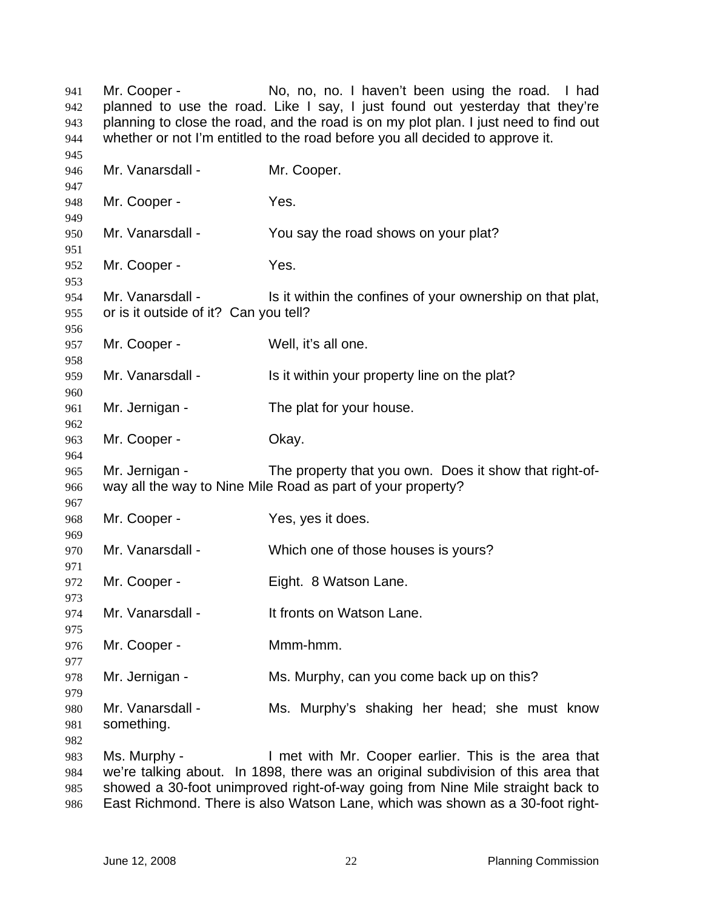Mr. Cooper - No, no, no. I haven't been using the road. I had planned to use the road. Like I say, I just found out yesterday that they're planning to close the road, and the road is on my plot plan. I just need to find out whether or not I'm entitled to the road before you all decided to approve it. Mr. Vanarsdall - Mr. Cooper. Mr. Cooper - Yes. Mr. Vanarsdall - You say the road shows on your plat? Mr. Cooper - Yes. Mr. Vanarsdall - Is it within the confines of your ownership on that plat, or is it outside of it? Can you tell? Mr. Cooper - Well, it's all one. Mr. Vanarsdall - Is it within your property line on the plat? Mr. Jernigan - The plat for your house. Mr. Cooper - Chay. Mr. Jernigan - The property that you own. Does it show that right-ofway all the way to Nine Mile Road as part of your property? Mr. Cooper - Yes, yes it does. Mr. Vanarsdall - Which one of those houses is yours? Mr. Cooper - Fight. 8 Watson Lane. Mr. Vanarsdall - It fronts on Watson Lane. Mr. Cooper - Mmm-hmm. Mr. Jernigan - Ms. Murphy, can you come back up on this? Mr. Vanarsdall - Ms. Murphy's shaking her head; she must know something. Ms. Murphy - I met with Mr. Cooper earlier. This is the area that we're talking about. In 1898, there was an original subdivision of this area that showed a 30-foot unimproved right-of-way going from Nine Mile straight back to

 East Richmond. There is also Watson Lane, which was shown as a 30-foot right-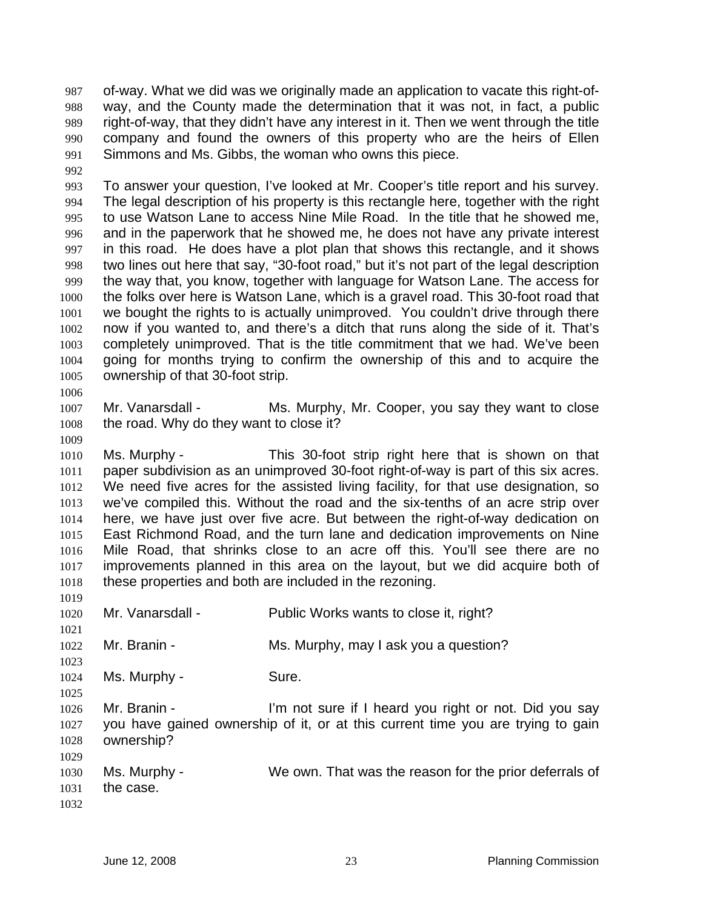of-way. What we did was we originally made an application to vacate this right-ofway, and the County made the determination that it was not, in fact, a public right-of-way, that they didn't have any interest in it. Then we went through the title company and found the owners of this property who are the heirs of Ellen Simmons and Ms. Gibbs, the woman who owns this piece. 987 988 989 990 991

992

993 994 995 996 997 998 999 1000 1001 1002 1003 1004 1005 To answer your question, I've looked at Mr. Cooper's title report and his survey. The legal description of his property is this rectangle here, together with the right to use Watson Lane to access Nine Mile Road. In the title that he showed me, and in the paperwork that he showed me, he does not have any private interest in this road. He does have a plot plan that shows this rectangle, and it shows two lines out here that say, "30-foot road," but it's not part of the legal description the way that, you know, together with language for Watson Lane. The access for the folks over here is Watson Lane, which is a gravel road. This 30-foot road that we bought the rights to is actually unimproved. You couldn't drive through there now if you wanted to, and there's a ditch that runs along the side of it. That's completely unimproved. That is the title commitment that we had. We've been going for months trying to confirm the ownership of this and to acquire the ownership of that 30-foot strip.

1006

1007 1008 Mr. Vanarsdall - Ms. Murphy, Mr. Cooper, you say they want to close the road. Why do they want to close it?

1009

1023

1025

1010 1011 1012 1013 1014 1015 1016 1017 1018 Ms. Murphy - This 30-foot strip right here that is shown on that paper subdivision as an unimproved 30-foot right-of-way is part of this six acres. We need five acres for the assisted living facility, for that use designation, so we've compiled this. Without the road and the six-tenths of an acre strip over here, we have just over five acre. But between the right-of-way dedication on East Richmond Road, and the turn lane and dedication improvements on Nine Mile Road, that shrinks close to an acre off this. You'll see there are no improvements planned in this area on the layout, but we did acquire both of these properties and both are included in the rezoning.

- 1019 1020 Mr. Vanarsdall - Public Works wants to close it, right?
- 1021 1022 Mr. Branin - Ms. Murphy, may I ask you a question?
- 1024 Ms. Murphy - Sure.

1026 1027 1028 Mr. Branin - The State of I heard you right or not. Did you say you have gained ownership of it, or at this current time you are trying to gain ownership?

1029 1030 1031 1032 Ms. Murphy - We own. That was the reason for the prior deferrals of the case.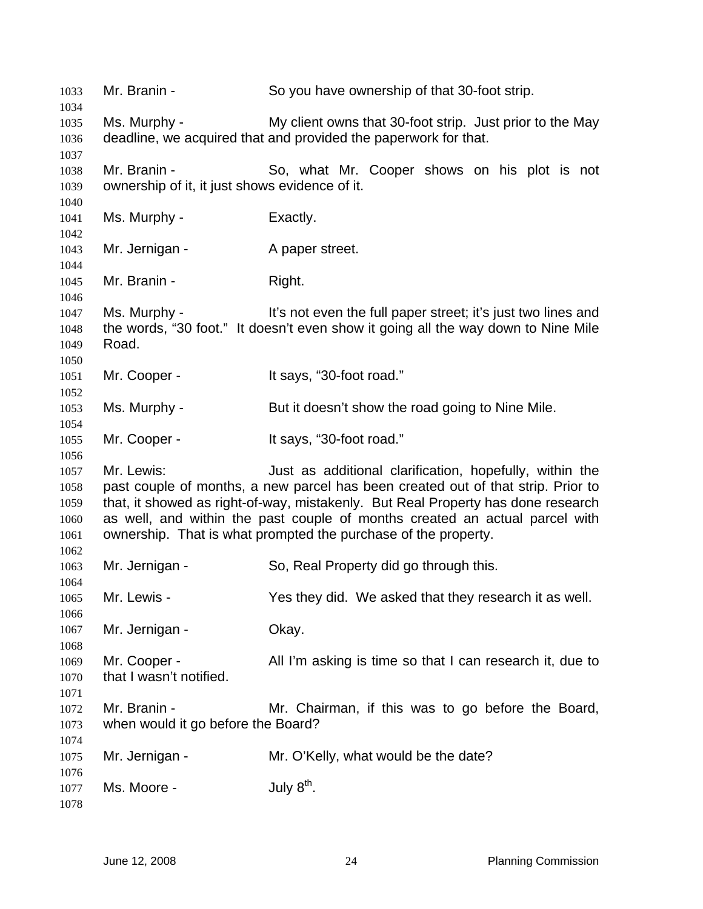Mr. Branin - So you have ownership of that 30-foot strip. Ms. Murphy - My client owns that 30-foot strip. Just prior to the May deadline, we acquired that and provided the paperwork for that. Mr. Branin - So, what Mr. Cooper shows on his plot is not ownership of it, it just shows evidence of it. Ms. Murphy - Exactly. Mr. Jernigan - A paper street. Mr. Branin - Right. Ms. Murphy - It's not even the full paper street; it's just two lines and the words, "30 foot." It doesn't even show it going all the way down to Nine Mile Road. Mr. Cooper - It says, "30-foot road." Ms. Murphy - But it doesn't show the road going to Nine Mile. Mr. Cooper - The Says, "30-foot road." Mr. Lewis: Just as additional clarification, hopefully, within the past couple of months, a new parcel has been created out of that strip. Prior to that, it showed as right-of-way, mistakenly. But Real Property has done research as well, and within the past couple of months created an actual parcel with ownership. That is what prompted the purchase of the property. Mr. Jernigan - So, Real Property did go through this. Mr. Lewis - The Yes they did. We asked that they research it as well. Mr. Jernigan - **Okay.** Mr. Cooper - All I'm asking is time so that I can research it, due to that I wasn't notified. Mr. Branin - The Mr. Chairman, if this was to go before the Board, when would it go before the Board? Mr. Jernigan - The Mr. O'Kelly, what would be the date? Ms. Moore -  $July 8<sup>th</sup>$ .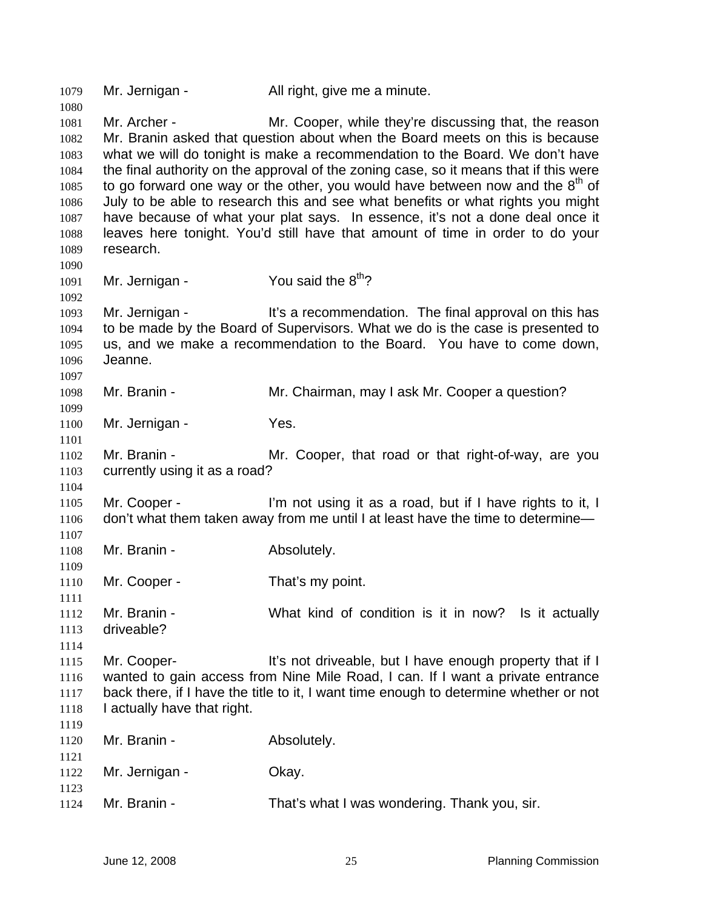| 1079         | Mr. Jernigan -                | All right, give me a minute.                                                                                                                                   |
|--------------|-------------------------------|----------------------------------------------------------------------------------------------------------------------------------------------------------------|
| 1080<br>1081 | Mr. Archer -                  | Mr. Cooper, while they're discussing that, the reason                                                                                                          |
| 1082         |                               | Mr. Branin asked that question about when the Board meets on this is because                                                                                   |
| 1083         |                               | what we will do tonight is make a recommendation to the Board. We don't have                                                                                   |
| 1084         |                               | the final authority on the approval of the zoning case, so it means that if this were                                                                          |
| 1085         |                               | to go forward one way or the other, you would have between now and the $8th$ of                                                                                |
| 1086         |                               | July to be able to research this and see what benefits or what rights you might                                                                                |
| 1087<br>1088 |                               | have because of what your plat says. In essence, it's not a done deal once it<br>leaves here tonight. You'd still have that amount of time in order to do your |
| 1089         | research.                     |                                                                                                                                                                |
| 1090         |                               |                                                                                                                                                                |
| 1091         | Mr. Jernigan -                | You said the 8 <sup>th</sup> ?                                                                                                                                 |
| 1092         | Mr. Jernigan -                | It's a recommendation. The final approval on this has                                                                                                          |
| 1093<br>1094 |                               | to be made by the Board of Supervisors. What we do is the case is presented to                                                                                 |
| 1095         |                               | us, and we make a recommendation to the Board. You have to come down,                                                                                          |
| 1096         | Jeanne.                       |                                                                                                                                                                |
| 1097         |                               |                                                                                                                                                                |
| 1098         | Mr. Branin -                  | Mr. Chairman, may I ask Mr. Cooper a question?                                                                                                                 |
| 1099         |                               |                                                                                                                                                                |
| 1100<br>1101 | Mr. Jernigan -                | Yes.                                                                                                                                                           |
| 1102         | Mr. Branin -                  | Mr. Cooper, that road or that right-of-way, are you                                                                                                            |
| 1103         | currently using it as a road? |                                                                                                                                                                |
| 1104         |                               |                                                                                                                                                                |
| 1105         | Mr. Cooper -                  | I'm not using it as a road, but if I have rights to it, I                                                                                                      |
| 1106         |                               | don't what them taken away from me until I at least have the time to determine-                                                                                |
| 1107         |                               |                                                                                                                                                                |
| 1108         | Mr. Branin -                  | Absolutely.                                                                                                                                                    |
| 1109         |                               |                                                                                                                                                                |
| 1110         | Mr. Cooper -                  | That's my point.                                                                                                                                               |
| 1111         |                               |                                                                                                                                                                |
| 1112         | Mr. Branin -                  | What kind of condition is it in now? Is it actually                                                                                                            |
| 1113         | driveable?                    |                                                                                                                                                                |
| 1114         |                               |                                                                                                                                                                |
| 1115         | Mr. Cooper-                   | It's not driveable, but I have enough property that if I                                                                                                       |
| 1116         |                               | wanted to gain access from Nine Mile Road, I can. If I want a private entrance                                                                                 |
| 1117         |                               | back there, if I have the title to it, I want time enough to determine whether or not                                                                          |
| 1118         | I actually have that right.   |                                                                                                                                                                |
| 1119         |                               |                                                                                                                                                                |
| 1120         | Mr. Branin -                  | Absolutely.                                                                                                                                                    |
| 1121         | Mr. Jernigan -                | Okay.                                                                                                                                                          |
| 1122<br>1123 |                               |                                                                                                                                                                |
| 1124         | Mr. Branin -                  | That's what I was wondering. Thank you, sir.                                                                                                                   |
|              |                               |                                                                                                                                                                |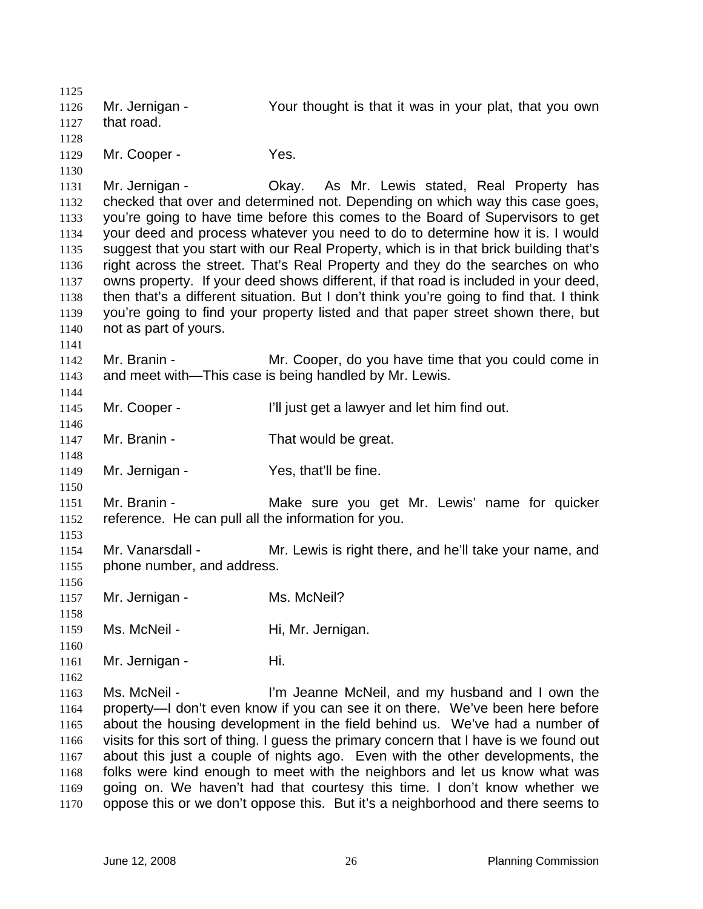1125 1126 1127 1128 1129 1130 1131 1132 1133 1134 1135 1136 1137 1138 1139 1140 1141 1142 1143 1144 1145 1146 1147 1148 1149 1150 1151 1152 1153 1154 1155 1156 1157 1158 1159 1160 1161 1162 1163 1164 1165 1166 1167 1168 1169 1170 Mr. Jernigan - Your thought is that it was in your plat, that you own that road. Mr. Cooper - Yes. Mr. Jernigan - Ckay. As Mr. Lewis stated, Real Property has checked that over and determined not. Depending on which way this case goes, you're going to have time before this comes to the Board of Supervisors to get your deed and process whatever you need to do to determine how it is. I would suggest that you start with our Real Property, which is in that brick building that's right across the street. That's Real Property and they do the searches on who owns property. If your deed shows different, if that road is included in your deed, then that's a different situation. But I don't think you're going to find that. I think you're going to find your property listed and that paper street shown there, but not as part of yours. Mr. Branin - Mr. Cooper, do you have time that you could come in and meet with—This case is being handled by Mr. Lewis. Mr. Cooper - T'll just get a lawyer and let him find out. Mr. Branin - That would be great. Mr. Jernigan - Yes, that'll be fine. Mr. Branin - The Make sure you get Mr. Lewis' name for quicker reference. He can pull all the information for you. Mr. Vanarsdall - Mr. Lewis is right there, and he'll take your name, and phone number, and address. Mr. Jernigan - Ms. McNeil? Ms. McNeil - Hi, Mr. Jernigan. Mr. Jernigan - Hi. Ms. McNeil - I'm Jeanne McNeil, and my husband and I own the property—I don't even know if you can see it on there. We've been here before about the housing development in the field behind us. We've had a number of visits for this sort of thing. I guess the primary concern that I have is we found out about this just a couple of nights ago. Even with the other developments, the folks were kind enough to meet with the neighbors and let us know what was going on. We haven't had that courtesy this time. I don't know whether we oppose this or we don't oppose this. But it's a neighborhood and there seems to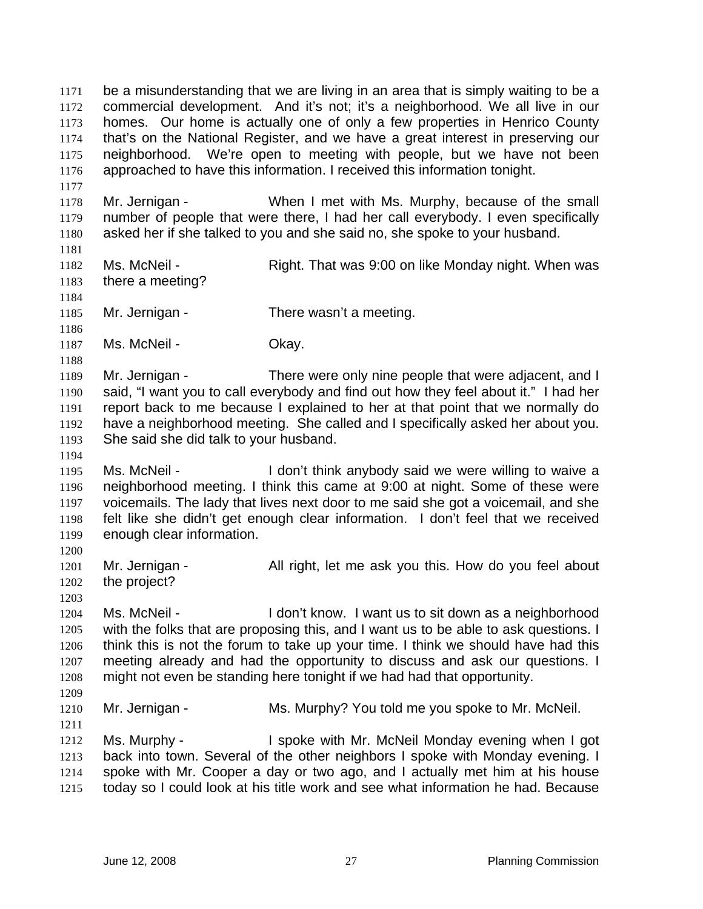be a misunderstanding that we are living in an area that is simply waiting to be a commercial development. And it's not; it's a neighborhood. We all live in our homes. Our home is actually one of only a few properties in Henrico County that's on the National Register, and we have a great interest in preserving our neighborhood. We're open to meeting with people, but we have not been approached to have this information. I received this information tonight. 1171 1172 1173 1174 1175 1176 1177 1178 1179 1180 1181 1182 1183 1184 1185 1186 1187 1188 1189 1190 1191 1192 1193 1194 1195 1196 1197 1198 1199 1200 1201 1202 1203 1204 1205 1206 1207 1208 1209 1210 1211 1212 1213 1214 1215 Mr. Jernigan - When I met with Ms. Murphy, because of the small number of people that were there, I had her call everybody. I even specifically asked her if she talked to you and she said no, she spoke to your husband. Ms. McNeil - Right. That was 9:00 on like Monday night. When was there a meeting? Mr. Jernigan - There wasn't a meeting. Ms. McNeil - Ckay. Mr. Jernigan - There were only nine people that were adjacent, and I said, "I want you to call everybody and find out how they feel about it." I had her report back to me because I explained to her at that point that we normally do have a neighborhood meeting. She called and I specifically asked her about you. She said she did talk to your husband. Ms. McNeil - The Mon't think anybody said we were willing to waive a neighborhood meeting. I think this came at 9:00 at night. Some of these were voicemails. The lady that lives next door to me said she got a voicemail, and she felt like she didn't get enough clear information. I don't feel that we received enough clear information. Mr. Jernigan - All right, let me ask you this. How do you feel about the project? Ms. McNeil - I don't know. I want us to sit down as a neighborhood with the folks that are proposing this, and I want us to be able to ask questions. I think this is not the forum to take up your time. I think we should have had this meeting already and had the opportunity to discuss and ask our questions. I might not even be standing here tonight if we had had that opportunity. Mr. Jernigan - Ms. Murphy? You told me you spoke to Mr. McNeil. Ms. Murphy - I spoke with Mr. McNeil Monday evening when I got back into town. Several of the other neighbors I spoke with Monday evening. I spoke with Mr. Cooper a day or two ago, and I actually met him at his house today so I could look at his title work and see what information he had. Because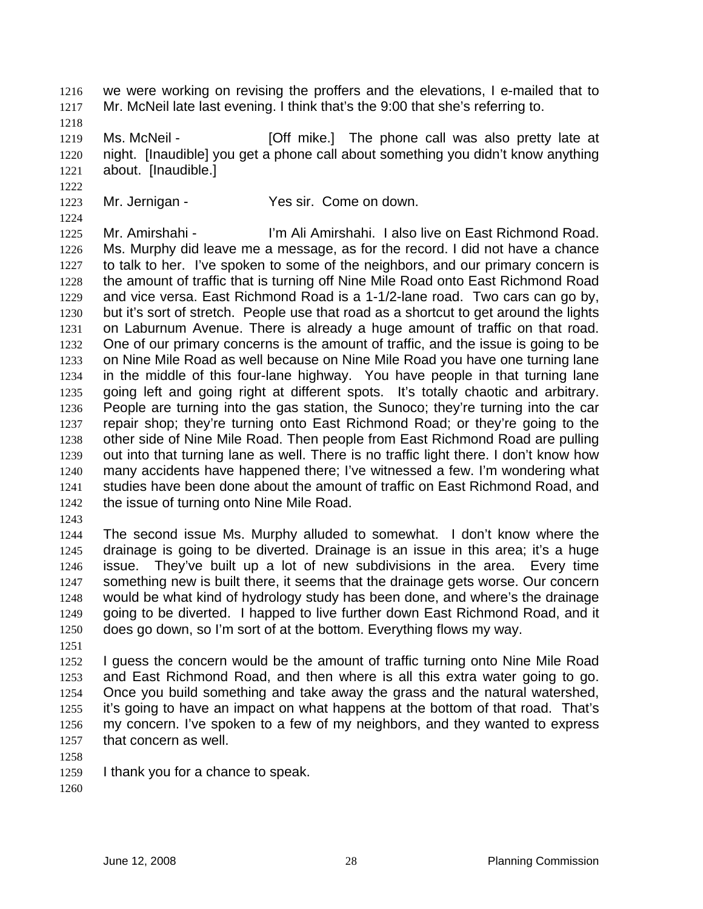we were working on revising the proffers and the elevations, I e-mailed that to Mr. McNeil late last evening. I think that's the 9:00 that she's referring to. 1216 1217

1218

1222

1224

1219 1220 1221 Ms. McNeil - [Off mike.] The phone call was also pretty late at night. [Inaudible] you get a phone call about something you didn't know anything about. [Inaudible.]

1223 Mr. Jernigan - Yes sir. Come on down.

1225 1226 1227 1228 1229 1230 1231 1232 1233 1234 1235 1236 1237 1238 1239 1240 1241 1242 Mr. Amirshahi - I'm Ali Amirshahi. I also live on East Richmond Road. Ms. Murphy did leave me a message, as for the record. I did not have a chance to talk to her. I've spoken to some of the neighbors, and our primary concern is the amount of traffic that is turning off Nine Mile Road onto East Richmond Road and vice versa. East Richmond Road is a 1-1/2-lane road. Two cars can go by, but it's sort of stretch. People use that road as a shortcut to get around the lights on Laburnum Avenue. There is already a huge amount of traffic on that road. One of our primary concerns is the amount of traffic, and the issue is going to be on Nine Mile Road as well because on Nine Mile Road you have one turning lane in the middle of this four-lane highway. You have people in that turning lane going left and going right at different spots. It's totally chaotic and arbitrary. People are turning into the gas station, the Sunoco; they're turning into the car repair shop; they're turning onto East Richmond Road; or they're going to the other side of Nine Mile Road. Then people from East Richmond Road are pulling out into that turning lane as well. There is no traffic light there. I don't know how many accidents have happened there; I've witnessed a few. I'm wondering what studies have been done about the amount of traffic on East Richmond Road, and the issue of turning onto Nine Mile Road.

1243

1244 1245 1246 1247 1248 1249 1250 The second issue Ms. Murphy alluded to somewhat. I don't know where the drainage is going to be diverted. Drainage is an issue in this area; it's a huge issue. They've built up a lot of new subdivisions in the area. Every time something new is built there, it seems that the drainage gets worse. Our concern would be what kind of hydrology study has been done, and where's the drainage going to be diverted. I happed to live further down East Richmond Road, and it does go down, so I'm sort of at the bottom. Everything flows my way.

1251

1252 1253 1254 1255 1256 1257 I guess the concern would be the amount of traffic turning onto Nine Mile Road and East Richmond Road, and then where is all this extra water going to go. Once you build something and take away the grass and the natural watershed, it's going to have an impact on what happens at the bottom of that road. That's my concern. I've spoken to a few of my neighbors, and they wanted to express that concern as well.

- 1258
- 1259 I thank you for a chance to speak.

1260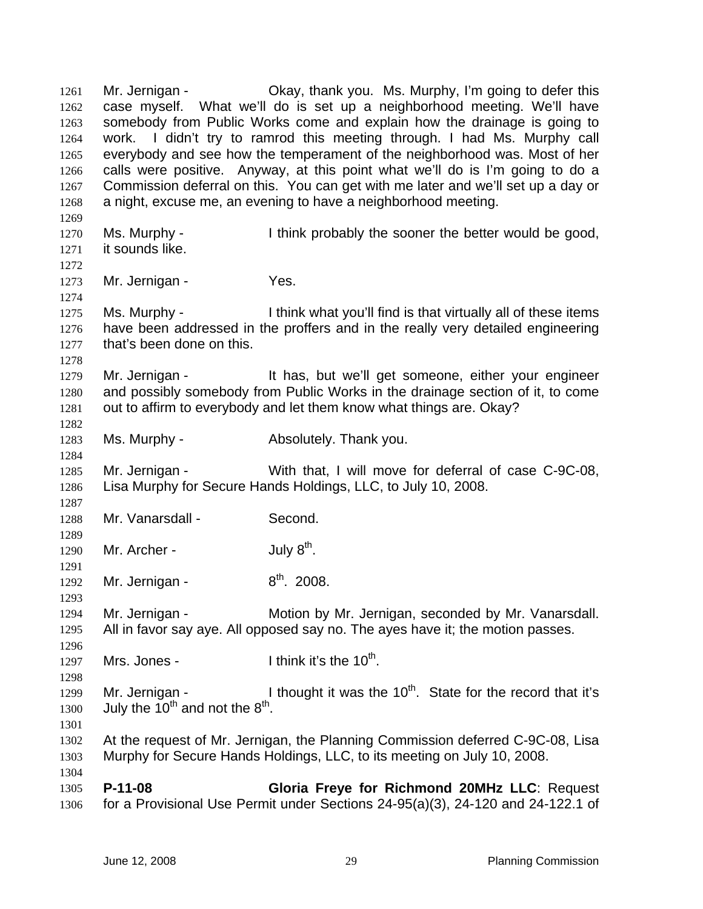Mr. Jernigan - Okay, thank you. Ms. Murphy, I'm going to defer this case myself. What we'll do is set up a neighborhood meeting. We'll have somebody from Public Works come and explain how the drainage is going to work. I didn't try to ramrod this meeting through. I had Ms. Murphy call everybody and see how the temperament of the neighborhood was. Most of her calls were positive. Anyway, at this point what we'll do is I'm going to do a Commission deferral on this. You can get with me later and we'll set up a day or a night, excuse me, an evening to have a neighborhood meeting. 1261 1262 1263 1264 1265 1266 1267 1268 1269 1270 1271 1272 1273 1274 1275 1276 1277 1278 1279 1280 1281 1282 1283 1284 1285 1286 1287 1288 1289 1290 1291 1292 1293 1294 1295 1296 1297 1298 1299 1300 1301 1302 1303 1304 1305 1306 Ms. Murphy - I think probably the sooner the better would be good, it sounds like. Mr. Jernigan - Yes. Ms. Murphy - I think what you'll find is that virtually all of these items have been addressed in the proffers and in the really very detailed engineering that's been done on this. Mr. Jernigan - It has, but we'll get someone, either your engineer and possibly somebody from Public Works in the drainage section of it, to come out to affirm to everybody and let them know what things are. Okay? Ms. Murphy - **Absolutely. Thank you.** Mr. Jernigan - With that, I will move for deferral of case C-9C-08, Lisa Murphy for Secure Hands Holdings, LLC, to July 10, 2008. Mr. Vanarsdall - Second. Mr. Archer -  $July 8<sup>th</sup>$ . Mr. Jernigan -  $8<sup>th</sup>$ . 2008. Mr. Jernigan - **Motion by Mr. Jernigan, seconded by Mr. Vanarsdall.** All in favor say aye. All opposed say no. The ayes have it; the motion passes. Mrs. Jones -  $\qquad \qquad$  I think it's the 10<sup>th</sup>. Mr. Jernigan - I thought it was the  $10<sup>th</sup>$ . State for the record that it's July the  $10^{th}$  and not the  $8^{th}$ . At the request of Mr. Jernigan, the Planning Commission deferred C-9C-08, Lisa Murphy for Secure Hands Holdings, LLC, to its meeting on July 10, 2008. **P-11-08 Gloria Freye for Richmond 20MHz LLC**: Request for a Provisional Use Permit under Sections 24-95(a)(3), 24-120 and 24-122.1 of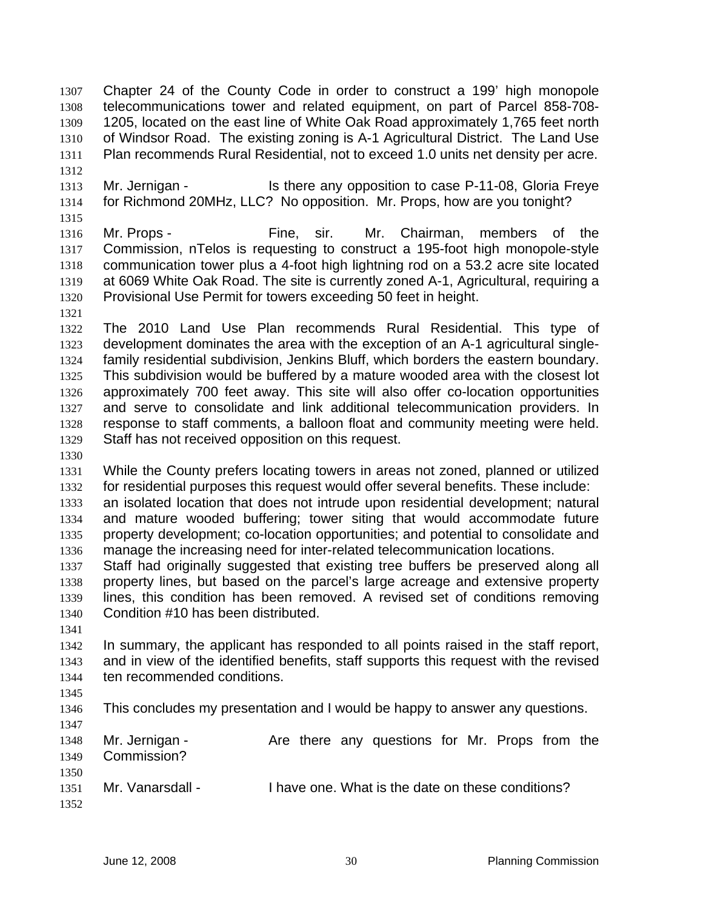Chapter 24 of the County Code in order to construct a 199' high monopole telecommunications tower and related equipment, on part of Parcel 858-708- 1205, located on the east line of White Oak Road approximately 1,765 feet north of Windsor Road. The existing zoning is A-1 Agricultural District. The Land Use Plan recommends Rural Residential, not to exceed 1.0 units net density per acre. 1307 1308 1309 1310 1311 1312

- 1313 1314 Mr. Jernigan - Is there any opposition to case P-11-08, Gloria Freye for Richmond 20MHz, LLC? No opposition. Mr. Props, how are you tonight?
- 1316 1317 1318 1319 1320 Mr. Props - Fine, sir. Mr. Chairman, members of the Commission, nTelos is requesting to construct a 195-foot high monopole-style communication tower plus a 4-foot high lightning rod on a 53.2 acre site located at 6069 White Oak Road. The site is currently zoned A-1, Agricultural, requiring a Provisional Use Permit for towers exceeding 50 feet in height.
- 1321

1315

1322 1323 1324 1325 1326 1327 1328 1329 The 2010 Land Use Plan recommends Rural Residential. This type of development dominates the area with the exception of an A-1 agricultural singlefamily residential subdivision, Jenkins Bluff, which borders the eastern boundary. This subdivision would be buffered by a mature wooded area with the closest lot approximately 700 feet away. This site will also offer co-location opportunities and serve to consolidate and link additional telecommunication providers. In response to staff comments, a balloon float and community meeting were held. Staff has not received opposition on this request.

1330

1331 1332 While the County prefers locating towers in areas not zoned, planned or utilized for residential purposes this request would offer several benefits. These include:

1333 1334 1335 1336 an isolated location that does not intrude upon residential development; natural and mature wooded buffering; tower siting that would accommodate future property development; co-location opportunities; and potential to consolidate and manage the increasing need for inter-related telecommunication locations.

1337 1338 1339 1340 Staff had originally suggested that existing tree buffers be preserved along all property lines, but based on the parcel's large acreage and extensive property lines, this condition has been removed. A revised set of conditions removing Condition #10 has been distributed.

1341

1342 1343 1344 In summary, the applicant has responded to all points raised in the staff report, and in view of the identified benefits, staff supports this request with the revised ten recommended conditions.

1345

1346 This concludes my presentation and I would be happy to answer any questions.

1347 1348 1349 1350 1351 Mr. Jernigan - The Are there any questions for Mr. Props from the Commission? Mr. Vanarsdall - I have one. What is the date on these conditions?

1352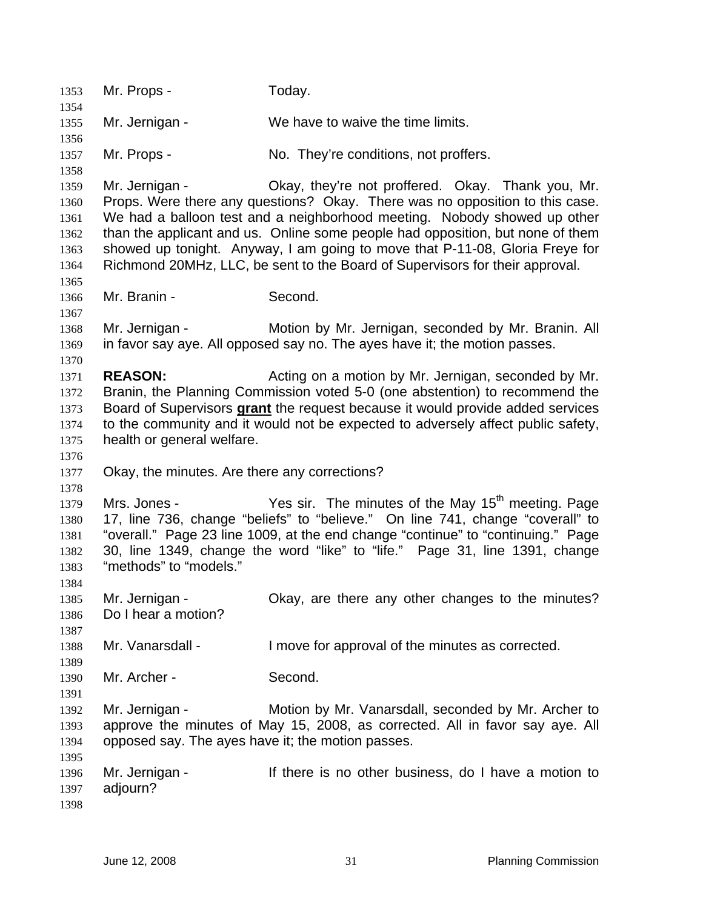1353 Mr. Props - Today. 1354 1355 1356 1357 1358 1359 1360 1361 1362 1363 1364 1365 1366 1367 1368 1369 1370 1371 1372 Mr. Jernigan - We have to waive the time limits. Mr. Props - No. They're conditions, not proffers. Mr. Jernigan - Okay, they're not proffered. Okay. Thank you, Mr. Props. Were there any questions? Okay. There was no opposition to this case. We had a balloon test and a neighborhood meeting. Nobody showed up other than the applicant and us. Online some people had opposition, but none of them showed up tonight. Anyway, I am going to move that P-11-08, Gloria Freye for Richmond 20MHz, LLC, be sent to the Board of Supervisors for their approval. Mr. Branin - Second. Mr. Jernigan - **Motion by Mr. Jernigan, seconded by Mr. Branin. All** in favor say aye. All opposed say no. The ayes have it; the motion passes. **REASON:** Acting on a motion by Mr. Jernigan, seconded by Mr. Branin, the Planning Commission voted 5-0 (one abstention) to recommend the Board of Supervisors **grant** the request because it would provide added services to the community and it would not be expected to adversely affect public safety, health or general welfare. 1373 1374 1375 1376 1377 1378 1379 1380 1381 1382 1383 1384 1385 1386 1387 1388 1389 1390 1391 1392 1393 1394 1395 1396 1397 1398 Okay, the minutes. Are there any corrections? Mrs. Jones - Yes sir. The minutes of the May 15<sup>th</sup> meeting. Page 17, line 736, change "beliefs" to "believe." On line 741, change "coverall" to "overall." Page 23 line 1009, at the end change "continue" to "continuing." Page 30, line 1349, change the word "like" to "life." Page 31, line 1391, change "methods" to "models." Mr. Jernigan - Ckay, are there any other changes to the minutes? Do I hear a motion? Mr. Vanarsdall - I move for approval of the minutes as corrected. Mr. Archer - Second. Mr. Jernigan - Motion by Mr. Vanarsdall, seconded by Mr. Archer to approve the minutes of May 15, 2008, as corrected. All in favor say aye. All opposed say. The ayes have it; the motion passes. Mr. Jernigan - There is no other business, do I have a motion to adjourn?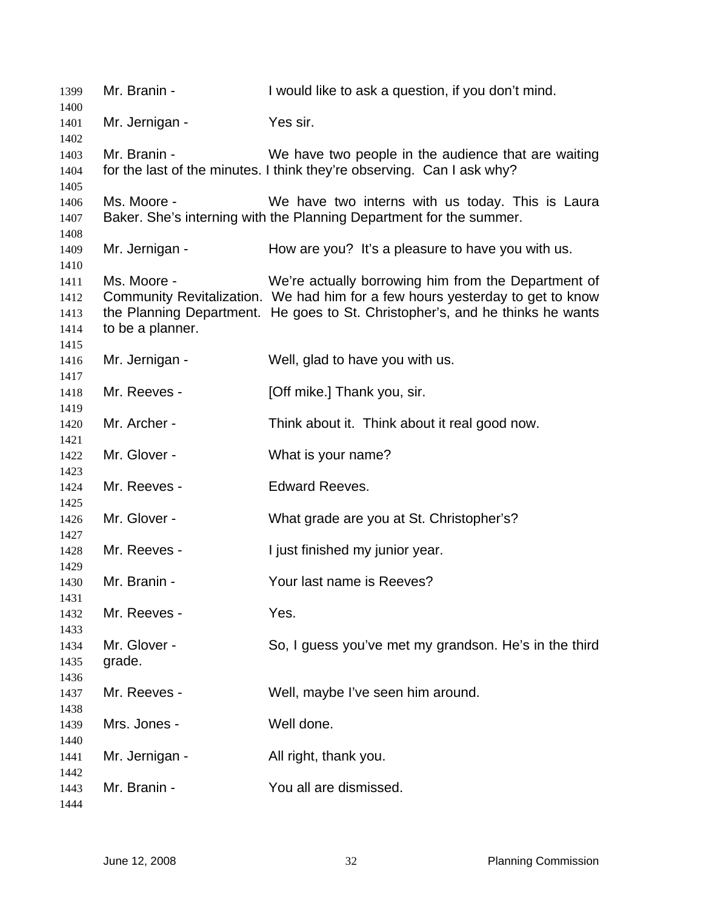| 1399         | Mr. Branin -     | I would like to ask a question, if you don't mind.                            |
|--------------|------------------|-------------------------------------------------------------------------------|
| 1400         |                  |                                                                               |
| 1401         | Mr. Jernigan -   | Yes sir.                                                                      |
| 1402<br>1403 | Mr. Branin -     | We have two people in the audience that are waiting                           |
| 1404         |                  | for the last of the minutes. I think they're observing. Can I ask why?        |
| 1405         |                  |                                                                               |
| 1406         | Ms. Moore -      | We have two interns with us today. This is Laura                              |
| 1407         |                  | Baker. She's interning with the Planning Department for the summer.           |
| 1408         |                  |                                                                               |
| 1409         | Mr. Jernigan -   | How are you? It's a pleasure to have you with us.                             |
| 1410         |                  |                                                                               |
| 1411         | Ms. Moore -      | We're actually borrowing him from the Department of                           |
| 1412         |                  | Community Revitalization. We had him for a few hours yesterday to get to know |
| 1413         |                  | the Planning Department. He goes to St. Christopher's, and he thinks he wants |
| 1414         | to be a planner. |                                                                               |
| 1415         |                  |                                                                               |
| 1416         | Mr. Jernigan -   | Well, glad to have you with us.                                               |
| 1417         |                  |                                                                               |
| 1418         | Mr. Reeves -     | [Off mike.] Thank you, sir.                                                   |
| 1419         |                  |                                                                               |
| 1420         | Mr. Archer -     | Think about it. Think about it real good now.                                 |
| 1421         |                  |                                                                               |
| 1422         | Mr. Glover -     | What is your name?                                                            |
| 1423         |                  |                                                                               |
| 1424         | Mr. Reeves -     | <b>Edward Reeves.</b>                                                         |
| 1425<br>1426 | Mr. Glover -     | What grade are you at St. Christopher's?                                      |
| 1427         |                  |                                                                               |
| 1428         | Mr. Reeves -     | I just finished my junior year.                                               |
| 1429         |                  |                                                                               |
| 1430         | Mr. Branin -     | Your last name is Reeves?                                                     |
| 1431         |                  |                                                                               |
| 1432         | Mr. Reeves -     | Yes.                                                                          |
| 1433         |                  |                                                                               |
| 1434         | Mr. Glover -     | So, I guess you've met my grandson. He's in the third                         |
| 1435         | grade.           |                                                                               |
| 1436         |                  |                                                                               |
| 1437         | Mr. Reeves -     | Well, maybe I've seen him around.                                             |
| 1438         |                  |                                                                               |
| 1439         | Mrs. Jones -     | Well done.                                                                    |
| 1440         |                  |                                                                               |
| 1441         | Mr. Jernigan -   | All right, thank you.                                                         |
| 1442         |                  |                                                                               |
| 1443         | Mr. Branin -     | You all are dismissed.                                                        |
| 1444         |                  |                                                                               |